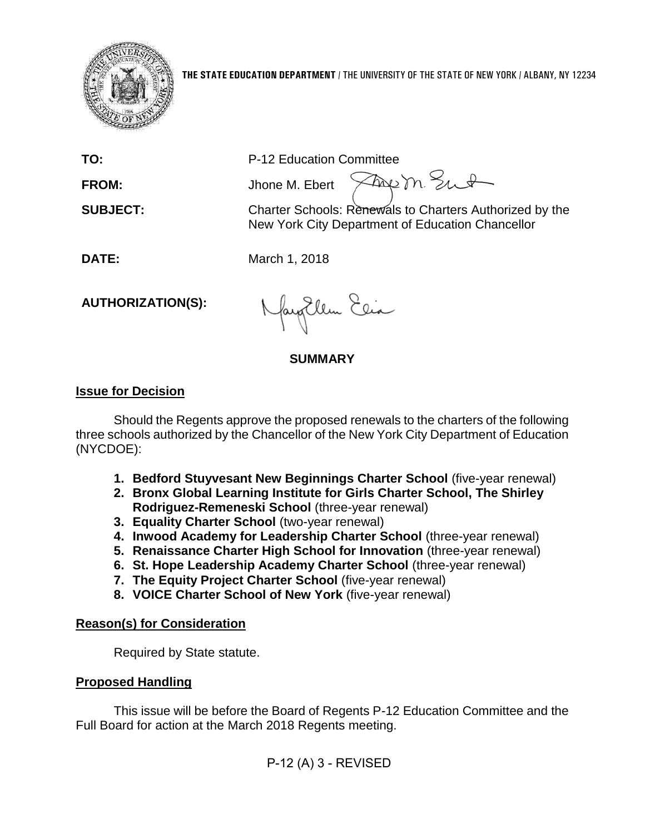

**TO:** P-12 Education Committee

**FROM:** Jhone M. Ebert

**SUBJECT:** Charter Schools: Renewals to Charters Authorized by the New York City Department of Education Chancellor

Freem Sut

**DATE:** March 1, 2018

**AUTHORIZATION(S):**

fayEllen Elia

## **SUMMARY**

# **Issue for Decision**

Should the Regents approve the proposed renewals to the charters of the following three schools authorized by the Chancellor of the New York City Department of Education (NYCDOE):

- **1. Bedford Stuyvesant New Beginnings Charter School** (five-year renewal)
- **2. Bronx Global Learning Institute for Girls Charter School, The Shirley Rodriguez-Remeneski School** (three-year renewal)
- **3. Equality Charter School** (two-year renewal)
- **4. Inwood Academy for Leadership Charter School** (three-year renewal)
- **5. Renaissance Charter High School for Innovation** (three-year renewal)
- **6. St. Hope Leadership Academy Charter School** (three-year renewal)
- **7. The Equity Project Charter School** (five-year renewal)
- **8. VOICE Charter School of New York** (five-year renewal)

# **Reason(s) for Consideration**

Required by State statute.

# **Proposed Handling**

This issue will be before the Board of Regents P-12 Education Committee and the Full Board for action at the March 2018 Regents meeting.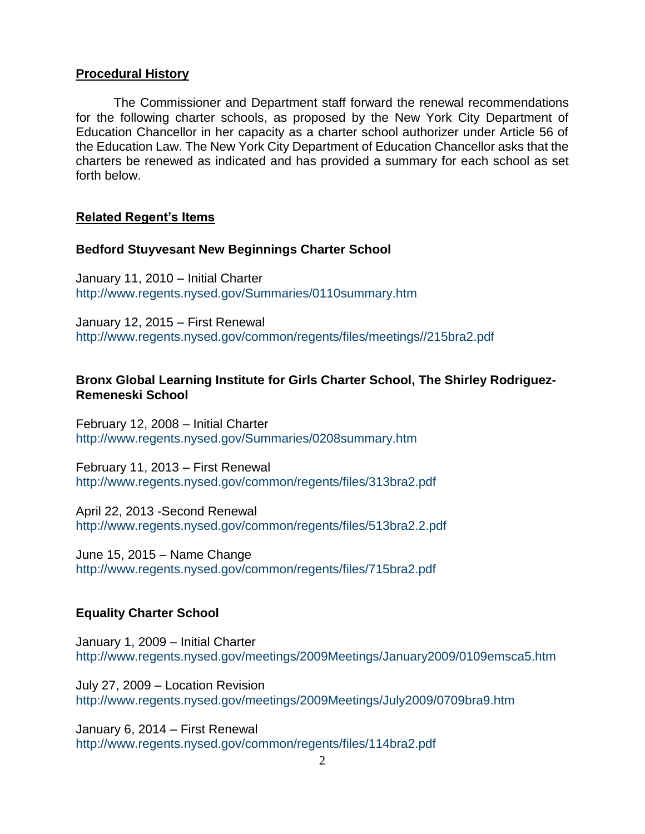## **Procedural History**

The Commissioner and Department staff forward the renewal recommendations for the following charter schools, as proposed by the New York City Department of Education Chancellor in her capacity as a charter school authorizer under Article 56 of the Education Law. The New York City Department of Education Chancellor asks that the charters be renewed as indicated and has provided a summary for each school as set forth below.

## **Related Regent's Items**

#### **Bedford Stuyvesant New Beginnings Charter School**

January 11, 2010 – Initial Charter <http://www.regents.nysed.gov/Summaries/0110summary.htm>

January 12, 2015 – First Renewal [http://www.regents.nysed.gov/common/regents/files/meetings//215bra2.pdf](http://www.regents.nysed.gov/common/regents/files/meetings/215bra2.pdf)

## **Bronx Global Learning Institute for Girls Charter School, The Shirley Rodriguez-Remeneski School**

February 12, 2008 – Initial Charter <http://www.regents.nysed.gov/Summaries/0208summary.htm>

February 11, 2013 – First Renewal <http://www.regents.nysed.gov/common/regents/files/313bra2.pdf>

April 22, 2013 -Second Renewal <http://www.regents.nysed.gov/common/regents/files/513bra2.2.pdf>

June 15, 2015 – Name Change <http://www.regents.nysed.gov/common/regents/files/715bra2.pdf>

## **Equality Charter School**

January 1, 2009 – Initial Charter <http://www.regents.nysed.gov/meetings/2009Meetings/January2009/0109emsca5.htm>

July 27, 2009 – Location Revision <http://www.regents.nysed.gov/meetings/2009Meetings/July2009/0709bra9.htm>

January 6, 2014 – First Renewal <http://www.regents.nysed.gov/common/regents/files/114bra2.pdf>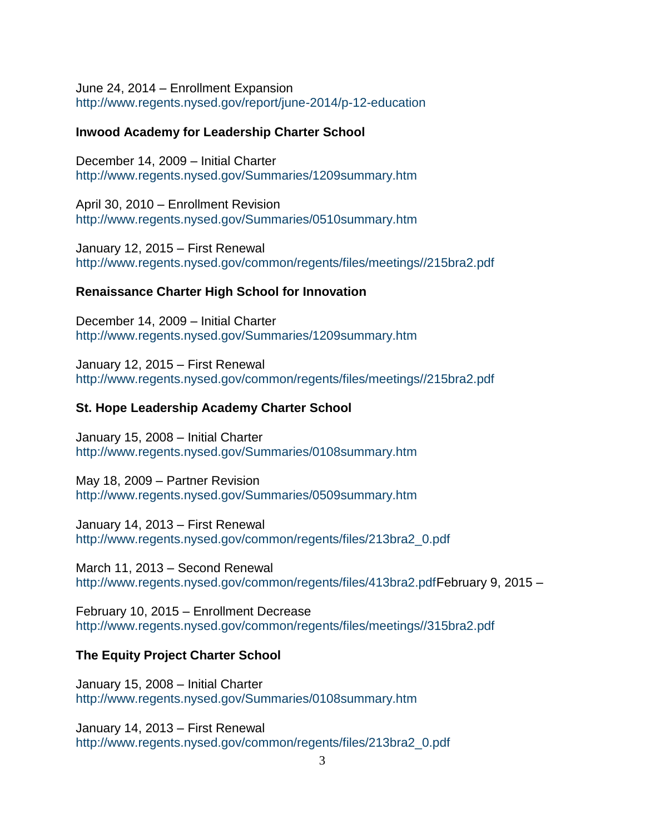June 24, 2014 – Enrollment Expansion <http://www.regents.nysed.gov/report/june-2014/p-12-education>

#### **Inwood Academy for Leadership Charter School**

December 14, 2009 – Initial Charter <http://www.regents.nysed.gov/Summaries/1209summary.htm>

April 30, 2010 – Enrollment Revision <http://www.regents.nysed.gov/Summaries/0510summary.htm>

January 12, 2015 – First Renewal [http://www.regents.nysed.gov/common/regents/files/meetings//215bra2.pdf](http://www.regents.nysed.gov/common/regents/files/meetings/215bra2.pdf)

#### **Renaissance Charter High School for Innovation**

December 14, 2009 – Initial Charter <http://www.regents.nysed.gov/Summaries/1209summary.htm>

January 12, 2015 – First Renewal [http://www.regents.nysed.gov/common/regents/files/meetings//215bra2.pdf](http://www.regents.nysed.gov/common/regents/files/meetings/215bra2.pdf)

#### **St. Hope Leadership Academy Charter School**

January 15, 2008 – Initial Charter <http://www.regents.nysed.gov/Summaries/0108summary.htm>

May 18, 2009 – Partner Revision <http://www.regents.nysed.gov/Summaries/0509summary.htm>

January 14, 2013 – First Renewal [http://www.regents.nysed.gov/common/regents/files/213bra2\\_0.pdf](http://www.regents.nysed.gov/common/regents/files/213bra2_0.pdf)

March 11, 2013 – Second Renewal [http://www.regents.nysed.gov/common/regents/files/413bra2.pdfF](http://www.regents.nysed.gov/common/regents/files/413bra2.pdf)ebruary 9, 2015 –

February 10, 2015 – Enrollment Decrease [http://www.regents.nysed.gov/common/regents/files/meetings//315bra2.pdf](http://www.regents.nysed.gov/common/regents/files/meetings/315bra2.pdf)

#### **The Equity Project Charter School**

January 15, 2008 – Initial Charter <http://www.regents.nysed.gov/Summaries/0108summary.htm>

January 14, 2013 – First Renewal [http://www.regents.nysed.gov/common/regents/files/213bra2\\_0.pdf](http://www.regents.nysed.gov/common/regents/files/213bra2_0.pdf)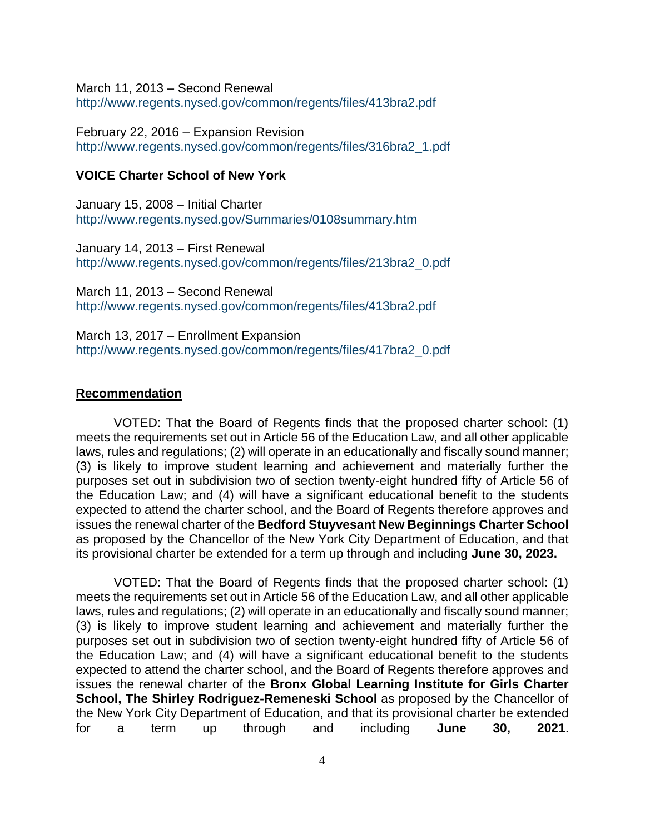March 11, 2013 – Second Renewal <http://www.regents.nysed.gov/common/regents/files/413bra2.pdf>

February 22, 2016 – Expansion Revision [http://www.regents.nysed.gov/common/regents/files/316bra2\\_1.pdf](http://www.regents.nysed.gov/common/regents/files/316bra2_1.pdf)

#### **VOICE Charter School of New York**

January 15, 2008 – Initial Charter <http://www.regents.nysed.gov/Summaries/0108summary.htm>

January 14, 2013 – First Renewal [http://www.regents.nysed.gov/common/regents/files/213bra2\\_0.pdf](http://www.regents.nysed.gov/common/regents/files/213bra2_0.pdf)

March 11, 2013 – Second Renewal <http://www.regents.nysed.gov/common/regents/files/413bra2.pdf>

March 13, 2017 – Enrollment Expansion [http://www.regents.nysed.gov/common/regents/files/417bra2\\_0.pdf](http://www.regents.nysed.gov/common/regents/files/417bra2_0.pdf)

#### **Recommendation**

VOTED: That the Board of Regents finds that the proposed charter school: (1) meets the requirements set out in Article 56 of the Education Law, and all other applicable laws, rules and regulations; (2) will operate in an educationally and fiscally sound manner; (3) is likely to improve student learning and achievement and materially further the purposes set out in subdivision two of section twenty-eight hundred fifty of Article 56 of the Education Law; and (4) will have a significant educational benefit to the students expected to attend the charter school, and the Board of Regents therefore approves and issues the renewal charter of the **Bedford Stuyvesant New Beginnings Charter School** as proposed by the Chancellor of the New York City Department of Education, and that its provisional charter be extended for a term up through and including **June 30, 2023.**

VOTED: That the Board of Regents finds that the proposed charter school: (1) meets the requirements set out in Article 56 of the Education Law, and all other applicable laws, rules and regulations; (2) will operate in an educationally and fiscally sound manner; (3) is likely to improve student learning and achievement and materially further the purposes set out in subdivision two of section twenty-eight hundred fifty of Article 56 of the Education Law; and (4) will have a significant educational benefit to the students expected to attend the charter school, and the Board of Regents therefore approves and issues the renewal charter of the **Bronx Global Learning Institute for Girls Charter School, The Shirley Rodriguez-Remeneski School** as proposed by the Chancellor of the New York City Department of Education, and that its provisional charter be extended for a term up through and including **June 30, 2021**.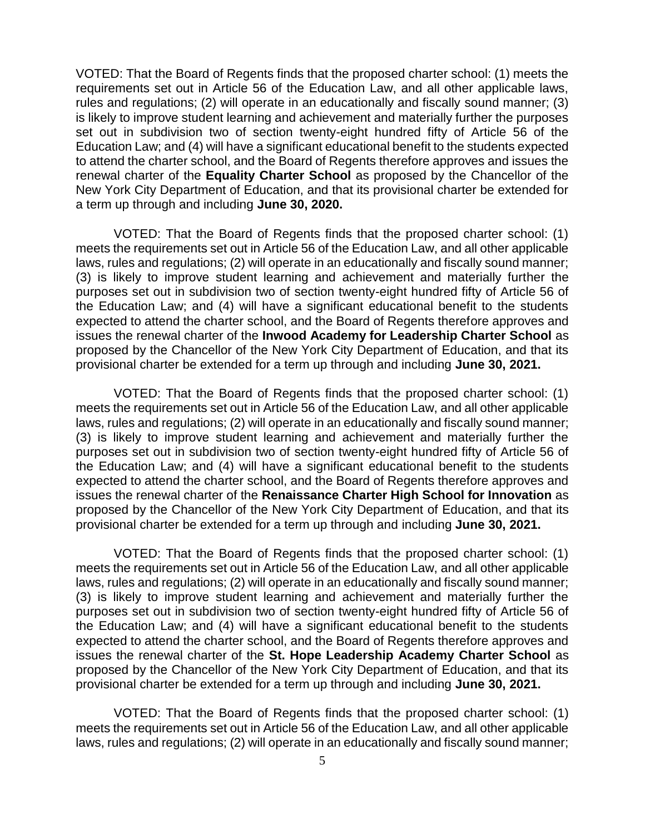VOTED: That the Board of Regents finds that the proposed charter school: (1) meets the requirements set out in Article 56 of the Education Law, and all other applicable laws, rules and regulations; (2) will operate in an educationally and fiscally sound manner; (3) is likely to improve student learning and achievement and materially further the purposes set out in subdivision two of section twenty-eight hundred fifty of Article 56 of the Education Law; and (4) will have a significant educational benefit to the students expected to attend the charter school, and the Board of Regents therefore approves and issues the renewal charter of the **Equality Charter School** as proposed by the Chancellor of the New York City Department of Education, and that its provisional charter be extended for a term up through and including **June 30, 2020.**

VOTED: That the Board of Regents finds that the proposed charter school: (1) meets the requirements set out in Article 56 of the Education Law, and all other applicable laws, rules and regulations; (2) will operate in an educationally and fiscally sound manner; (3) is likely to improve student learning and achievement and materially further the purposes set out in subdivision two of section twenty-eight hundred fifty of Article 56 of the Education Law; and (4) will have a significant educational benefit to the students expected to attend the charter school, and the Board of Regents therefore approves and issues the renewal charter of the **Inwood Academy for Leadership Charter School** as proposed by the Chancellor of the New York City Department of Education, and that its provisional charter be extended for a term up through and including **June 30, 2021.**

VOTED: That the Board of Regents finds that the proposed charter school: (1) meets the requirements set out in Article 56 of the Education Law, and all other applicable laws, rules and regulations; (2) will operate in an educationally and fiscally sound manner; (3) is likely to improve student learning and achievement and materially further the purposes set out in subdivision two of section twenty-eight hundred fifty of Article 56 of the Education Law; and (4) will have a significant educational benefit to the students expected to attend the charter school, and the Board of Regents therefore approves and issues the renewal charter of the **Renaissance Charter High School for Innovation** as proposed by the Chancellor of the New York City Department of Education, and that its provisional charter be extended for a term up through and including **June 30, 2021.**

VOTED: That the Board of Regents finds that the proposed charter school: (1) meets the requirements set out in Article 56 of the Education Law, and all other applicable laws, rules and regulations; (2) will operate in an educationally and fiscally sound manner; (3) is likely to improve student learning and achievement and materially further the purposes set out in subdivision two of section twenty-eight hundred fifty of Article 56 of the Education Law; and (4) will have a significant educational benefit to the students expected to attend the charter school, and the Board of Regents therefore approves and issues the renewal charter of the **St. Hope Leadership Academy Charter School** as proposed by the Chancellor of the New York City Department of Education, and that its provisional charter be extended for a term up through and including **June 30, 2021.**

VOTED: That the Board of Regents finds that the proposed charter school: (1) meets the requirements set out in Article 56 of the Education Law, and all other applicable laws, rules and regulations; (2) will operate in an educationally and fiscally sound manner;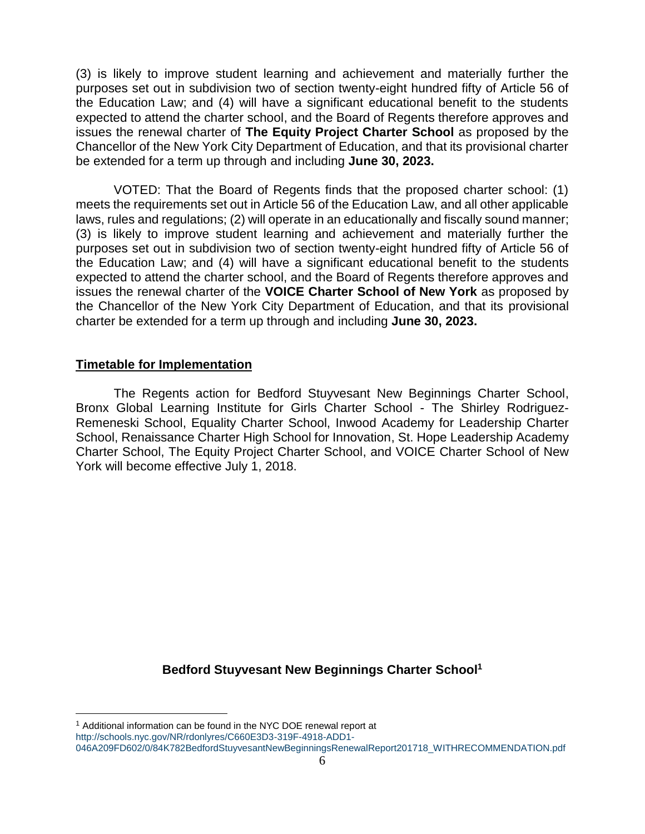(3) is likely to improve student learning and achievement and materially further the purposes set out in subdivision two of section twenty-eight hundred fifty of Article 56 of the Education Law; and (4) will have a significant educational benefit to the students expected to attend the charter school, and the Board of Regents therefore approves and issues the renewal charter of **The Equity Project Charter School** as proposed by the Chancellor of the New York City Department of Education, and that its provisional charter be extended for a term up through and including **June 30, 2023.**

VOTED: That the Board of Regents finds that the proposed charter school: (1) meets the requirements set out in Article 56 of the Education Law, and all other applicable laws, rules and regulations; (2) will operate in an educationally and fiscally sound manner; (3) is likely to improve student learning and achievement and materially further the purposes set out in subdivision two of section twenty-eight hundred fifty of Article 56 of the Education Law; and (4) will have a significant educational benefit to the students expected to attend the charter school, and the Board of Regents therefore approves and issues the renewal charter of the **VOICE Charter School of New York** as proposed by the Chancellor of the New York City Department of Education, and that its provisional charter be extended for a term up through and including **June 30, 2023.**

#### **Timetable for Implementation**

 $\overline{a}$ 

The Regents action for Bedford Stuyvesant New Beginnings Charter School, Bronx Global Learning Institute for Girls Charter School - The Shirley Rodriguez-Remeneski School, Equality Charter School, Inwood Academy for Leadership Charter School, Renaissance Charter High School for Innovation, St. Hope Leadership Academy Charter School, The Equity Project Charter School, and VOICE Charter School of New York will become effective July 1, 2018.

**Bedford Stuyvesant New Beginnings Charter School<sup>1</sup>**

<sup>&</sup>lt;sup>1</sup> Additional information can be found in the NYC DOE renewal report at [http://schools.nyc.gov/NR/rdonlyres/C660E3D3-319F-4918-ADD1-](http://schools.nyc.gov/NR/rdonlyres/C660E3D3-319F-4918-ADD1-046A209FD602/0/84K782BedfordStuyvesantNewBeginningsRenewalReport201718_WITHRECOMMENDATION.pdf) [046A209FD602/0/84K782BedfordStuyvesantNewBeginningsRenewalReport201718\\_WITHRECOMMENDATION.pdf](http://schools.nyc.gov/NR/rdonlyres/C660E3D3-319F-4918-ADD1-046A209FD602/0/84K782BedfordStuyvesantNewBeginningsRenewalReport201718_WITHRECOMMENDATION.pdf)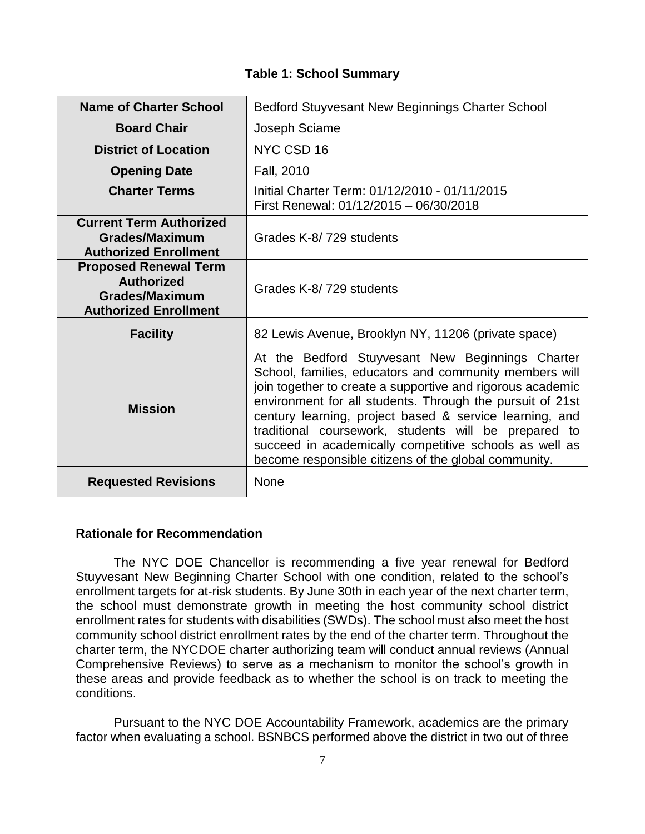|  |  |  | <b>Table 1: School Summary</b> |
|--|--|--|--------------------------------|
|--|--|--|--------------------------------|

| <b>Name of Charter School</b>                                                                              | Bedford Stuyvesant New Beginnings Charter School                                                                                                                                                                                                                                                                                                                                                                                                                           |
|------------------------------------------------------------------------------------------------------------|----------------------------------------------------------------------------------------------------------------------------------------------------------------------------------------------------------------------------------------------------------------------------------------------------------------------------------------------------------------------------------------------------------------------------------------------------------------------------|
| <b>Board Chair</b>                                                                                         | Joseph Sciame                                                                                                                                                                                                                                                                                                                                                                                                                                                              |
| <b>District of Location</b>                                                                                | NYC CSD 16                                                                                                                                                                                                                                                                                                                                                                                                                                                                 |
| <b>Opening Date</b>                                                                                        | Fall, 2010                                                                                                                                                                                                                                                                                                                                                                                                                                                                 |
| <b>Charter Terms</b>                                                                                       | Initial Charter Term: 01/12/2010 - 01/11/2015<br>First Renewal: 01/12/2015 - 06/30/2018                                                                                                                                                                                                                                                                                                                                                                                    |
| <b>Current Term Authorized</b><br><b>Grades/Maximum</b><br><b>Authorized Enrollment</b>                    | Grades K-8/729 students                                                                                                                                                                                                                                                                                                                                                                                                                                                    |
| <b>Proposed Renewal Term</b><br><b>Authorized</b><br><b>Grades/Maximum</b><br><b>Authorized Enrollment</b> | Grades K-8/729 students                                                                                                                                                                                                                                                                                                                                                                                                                                                    |
| <b>Facility</b>                                                                                            | 82 Lewis Avenue, Brooklyn NY, 11206 (private space)                                                                                                                                                                                                                                                                                                                                                                                                                        |
| <b>Mission</b>                                                                                             | At the Bedford Stuyvesant New Beginnings Charter<br>School, families, educators and community members will<br>join together to create a supportive and rigorous academic<br>environment for all students. Through the pursuit of 21st<br>century learning, project based & service learning, and<br>traditional coursework, students will be prepared to<br>succeed in academically competitive schools as well as<br>become responsible citizens of the global community. |
| <b>Requested Revisions</b>                                                                                 | <b>None</b>                                                                                                                                                                                                                                                                                                                                                                                                                                                                |

#### **Rationale for Recommendation**

The NYC DOE Chancellor is recommending a five year renewal for Bedford Stuyvesant New Beginning Charter School with one condition, related to the school's enrollment targets for at-risk students. By June 30th in each year of the next charter term, the school must demonstrate growth in meeting the host community school district enrollment rates for students with disabilities (SWDs). The school must also meet the host community school district enrollment rates by the end of the charter term. Throughout the charter term, the NYCDOE charter authorizing team will conduct annual reviews (Annual Comprehensive Reviews) to serve as a mechanism to monitor the school's growth in these areas and provide feedback as to whether the school is on track to meeting the conditions.

Pursuant to the NYC DOE Accountability Framework, academics are the primary factor when evaluating a school. BSNBCS performed above the district in two out of three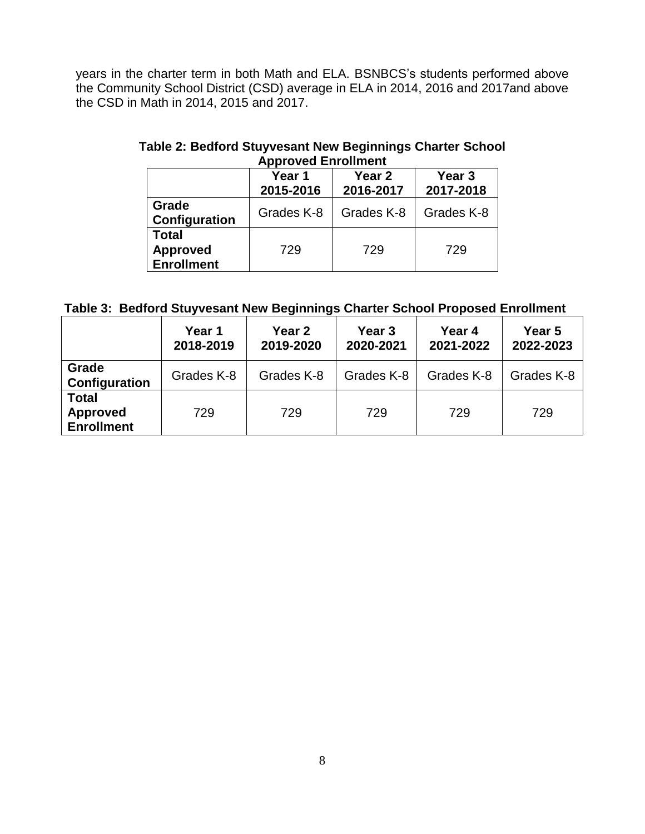years in the charter term in both Math and ELA. BSNBCS's students performed above the Community School District (CSD) average in ELA in 2014, 2016 and 2017and above the CSD in Math in 2014, 2015 and 2017.

|                                                      | Year 1<br>2015-2016 | Year <sub>3</sub><br>2017-2018 |            |  |
|------------------------------------------------------|---------------------|--------------------------------|------------|--|
| Grade<br>Configuration                               | Grades K-8          | Grades K-8                     | Grades K-8 |  |
| <b>Total</b><br><b>Approved</b><br><b>Enrollment</b> | 729                 | 729                            | 729        |  |

# **Table 2: Bedford Stuyvesant New Beginnings Charter School Approved Enrollment**

# **Table 3: Bedford Stuyvesant New Beginnings Charter School Proposed Enrollment**

|                                                      | Year 1<br>2018-2019 | Year 2<br>2019-2020 | Year 3<br>2020-2021 | Year 4<br>2021-2022 | Year 5<br>2022-2023 |
|------------------------------------------------------|---------------------|---------------------|---------------------|---------------------|---------------------|
| Grade<br>Configuration                               | Grades K-8          | Grades K-8          | Grades K-8          | Grades K-8          | Grades K-8          |
| <b>Total</b><br><b>Approved</b><br><b>Enrollment</b> | 729                 | 729                 | 729                 | 729                 | 729                 |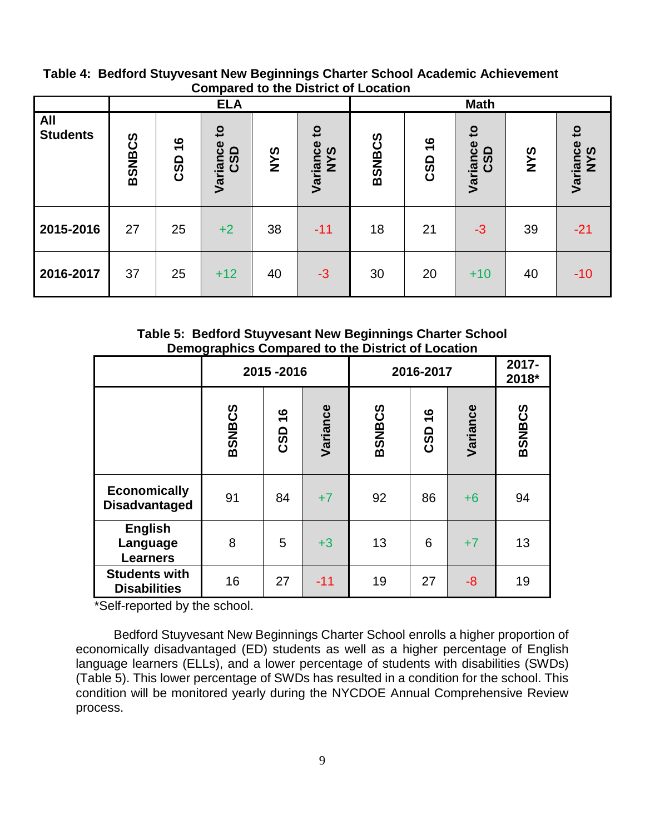|                               |               |                             | <b>ELA</b>                                   |            |                                        | <b>Math</b>   |                      |                                 |            |                                 |
|-------------------------------|---------------|-----------------------------|----------------------------------------------|------------|----------------------------------------|---------------|----------------------|---------------------------------|------------|---------------------------------|
| <b>All</b><br><b>Students</b> | <b>BSNBCS</b> | $\frac{6}{1}$<br><b>CSD</b> | $\mathbf{c}$<br>$\bullet$<br>Variance<br>CSD | <b>SAN</b> | $\mathbf{S}$<br>Variance<br><b>SAN</b> | <b>BSNBCS</b> | $\frac{6}{1}$<br>CSD | $\mathbf{S}$<br>Variance<br>CSD | <b>SAN</b> | $\mathbf{S}$<br>Variance<br>NYS |
| 2015-2016                     | 27            | 25                          | $+2$                                         | 38         | $-11$                                  | 18            | 21                   | $-3$                            | 39         | $-21$                           |
| 2016-2017                     | 37            | 25                          | $+12$                                        | 40         | $-3$                                   | 30            | 20                   | $+10$                           | 40         | $-10$                           |

**Table 4: Bedford Stuyvesant New Beginnings Charter School Academic Achievement Compared to the District of Location**

**Table 5: Bedford Stuyvesant New Beginnings Charter School Demographics Compared to the District of Location**

|                                               | 2015-2016     |        |          | 2016-2017     | 2017-<br>2018*       |          |               |
|-----------------------------------------------|---------------|--------|----------|---------------|----------------------|----------|---------------|
|                                               | <b>BSNBCS</b> | CSD 16 | Variance | <b>BSNBCS</b> | $\frac{6}{1}$<br>CSD | Variance | <b>BSNBCS</b> |
| <b>Economically</b><br><b>Disadvantaged</b>   | 91            | 84     | $+7$     | 92            | 86                   | $+6$     | 94            |
| <b>English</b><br>Language<br><b>Learners</b> | 8             | 5      | $+3$     | 13            | 6                    | $+7$     | 13            |
| <b>Students with</b><br><b>Disabilities</b>   | 16            | 27     | $-11$    | 19            | 27                   | -8       | 19            |

\*Self-reported by the school.

Bedford Stuyvesant New Beginnings Charter School enrolls a higher proportion of economically disadvantaged (ED) students as well as a higher percentage of English language learners (ELLs), and a lower percentage of students with disabilities (SWDs) (Table 5). This lower percentage of SWDs has resulted in a condition for the school. This condition will be monitored yearly during the NYCDOE Annual Comprehensive Review process.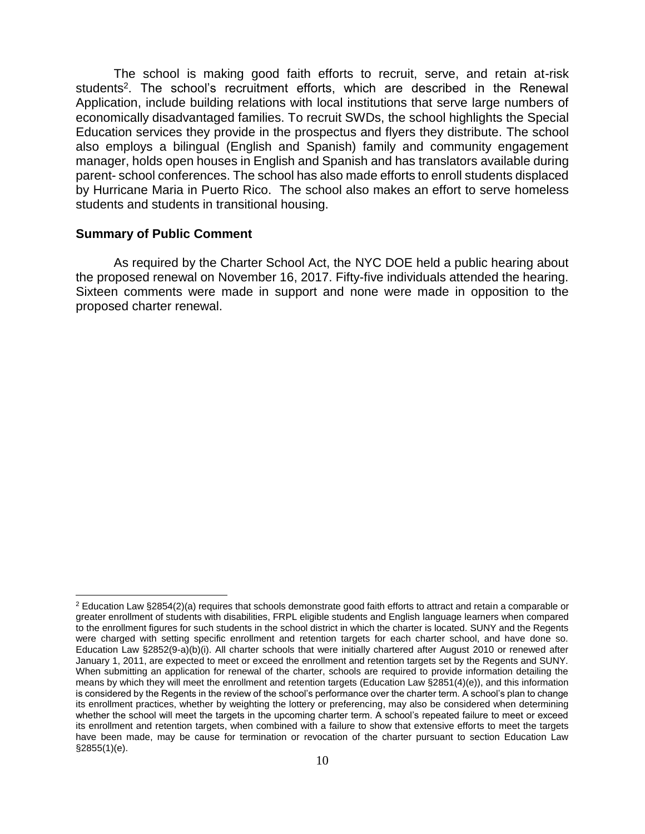The school is making good faith efforts to recruit, serve, and retain at-risk students<sup>2</sup>. The school's recruitment efforts, which are described in the Renewal Application, include building relations with local institutions that serve large numbers of economically disadvantaged families. To recruit SWDs, the school highlights the Special Education services they provide in the prospectus and flyers they distribute. The school also employs a bilingual (English and Spanish) family and community engagement manager, holds open houses in English and Spanish and has translators available during parent- school conferences. The school has also made efforts to enroll students displaced by Hurricane Maria in Puerto Rico. The school also makes an effort to serve homeless students and students in transitional housing.

#### **Summary of Public Comment**

 $\overline{a}$ 

As required by the Charter School Act, the NYC DOE held a public hearing about the proposed renewal on November 16, 2017. Fifty-five individuals attended the hearing. Sixteen comments were made in support and none were made in opposition to the proposed charter renewal.

 $2$  Education Law §2854(2)(a) requires that schools demonstrate good faith efforts to attract and retain a comparable or greater enrollment of students with disabilities, FRPL eligible students and English language learners when compared to the enrollment figures for such students in the school district in which the charter is located. SUNY and the Regents were charged with setting specific enrollment and retention targets for each charter school, and have done so. Education Law §2852(9-a)(b)(i). All charter schools that were initially chartered after August 2010 or renewed after January 1, 2011, are expected to meet or exceed the enrollment and retention targets set by the Regents and SUNY. When submitting an application for renewal of the charter, schools are required to provide information detailing the means by which they will meet the enrollment and retention targets (Education Law §2851(4)(e)), and this information is considered by the Regents in the review of the school's performance over the charter term. A school's plan to change its enrollment practices, whether by weighting the lottery or preferencing, may also be considered when determining whether the school will meet the targets in the upcoming charter term. A school's repeated failure to meet or exceed its enrollment and retention targets, when combined with a failure to show that extensive efforts to meet the targets have been made, may be cause for termination or revocation of the charter pursuant to section Education Law §2855(1)(e).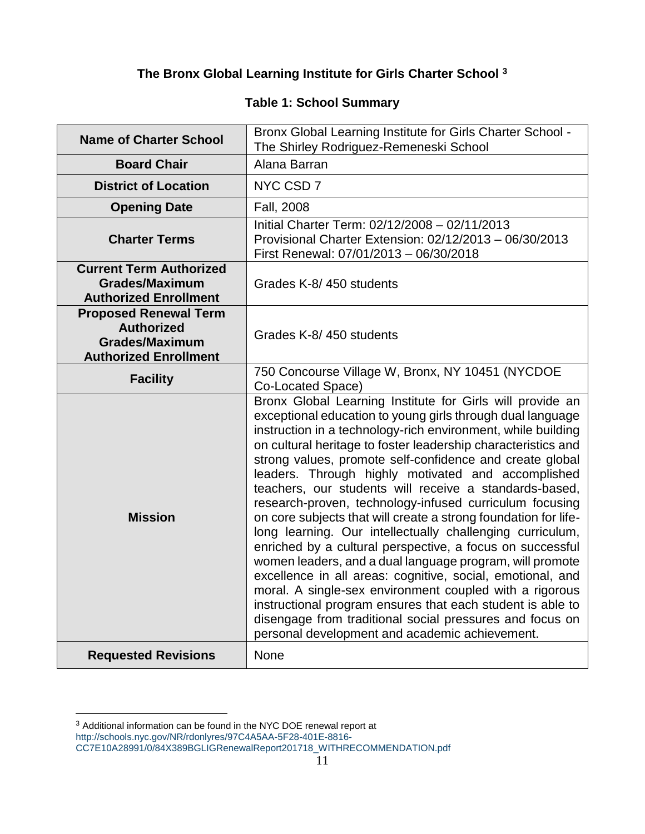# **The Bronx Global Learning Institute for Girls Charter School <sup>3</sup>**

## **Table 1: School Summary**

| <b>Name of Charter School</b>                                                                              | Bronx Global Learning Institute for Girls Charter School -<br>The Shirley Rodriguez-Remeneski School                                                                                                                                                                                                                                                                                                                                                                                                                                                                                                                                                                                                                                                                                                                                                                                                                                                                                                                                                          |
|------------------------------------------------------------------------------------------------------------|---------------------------------------------------------------------------------------------------------------------------------------------------------------------------------------------------------------------------------------------------------------------------------------------------------------------------------------------------------------------------------------------------------------------------------------------------------------------------------------------------------------------------------------------------------------------------------------------------------------------------------------------------------------------------------------------------------------------------------------------------------------------------------------------------------------------------------------------------------------------------------------------------------------------------------------------------------------------------------------------------------------------------------------------------------------|
| <b>Board Chair</b>                                                                                         | Alana Barran                                                                                                                                                                                                                                                                                                                                                                                                                                                                                                                                                                                                                                                                                                                                                                                                                                                                                                                                                                                                                                                  |
| <b>District of Location</b>                                                                                | NYC CSD 7                                                                                                                                                                                                                                                                                                                                                                                                                                                                                                                                                                                                                                                                                                                                                                                                                                                                                                                                                                                                                                                     |
| <b>Opening Date</b>                                                                                        | Fall, 2008                                                                                                                                                                                                                                                                                                                                                                                                                                                                                                                                                                                                                                                                                                                                                                                                                                                                                                                                                                                                                                                    |
| <b>Charter Terms</b>                                                                                       | Initial Charter Term: 02/12/2008 - 02/11/2013<br>Provisional Charter Extension: 02/12/2013 - 06/30/2013<br>First Renewal: 07/01/2013 - 06/30/2018                                                                                                                                                                                                                                                                                                                                                                                                                                                                                                                                                                                                                                                                                                                                                                                                                                                                                                             |
| <b>Current Term Authorized</b><br><b>Grades/Maximum</b><br><b>Authorized Enrollment</b>                    | Grades K-8/450 students                                                                                                                                                                                                                                                                                                                                                                                                                                                                                                                                                                                                                                                                                                                                                                                                                                                                                                                                                                                                                                       |
| <b>Proposed Renewal Term</b><br><b>Authorized</b><br><b>Grades/Maximum</b><br><b>Authorized Enrollment</b> | Grades K-8/450 students                                                                                                                                                                                                                                                                                                                                                                                                                                                                                                                                                                                                                                                                                                                                                                                                                                                                                                                                                                                                                                       |
| <b>Facility</b>                                                                                            | 750 Concourse Village W, Bronx, NY 10451 (NYCDOE<br>Co-Located Space)                                                                                                                                                                                                                                                                                                                                                                                                                                                                                                                                                                                                                                                                                                                                                                                                                                                                                                                                                                                         |
| <b>Mission</b>                                                                                             | Bronx Global Learning Institute for Girls will provide an<br>exceptional education to young girls through dual language<br>instruction in a technology-rich environment, while building<br>on cultural heritage to foster leadership characteristics and<br>strong values, promote self-confidence and create global<br>leaders. Through highly motivated and accomplished<br>teachers, our students will receive a standards-based,<br>research-proven, technology-infused curriculum focusing<br>on core subjects that will create a strong foundation for life-<br>long learning. Our intellectually challenging curriculum,<br>enriched by a cultural perspective, a focus on successful<br>women leaders, and a dual language program, will promote<br>excellence in all areas: cognitive, social, emotional, and<br>moral. A single-sex environment coupled with a rigorous<br>instructional program ensures that each student is able to<br>disengage from traditional social pressures and focus on<br>personal development and academic achievement. |
| <b>Requested Revisions</b>                                                                                 | <b>None</b>                                                                                                                                                                                                                                                                                                                                                                                                                                                                                                                                                                                                                                                                                                                                                                                                                                                                                                                                                                                                                                                   |

 $\overline{a}$ 

 $3$  Additional information can be found in the NYC DOE renewal report at [http://schools.nyc.gov/NR/rdonlyres/97C4A5AA-5F28-401E-8816-](http://schools.nyc.gov/NR/rdonlyres/97C4A5AA-5F28-401E-8816-CC7E10A28991/0/84X389BGLIGRenewalReport201718_WITHRECOMMENDATION.pdf)

[CC7E10A28991/0/84X389BGLIGRenewalReport201718\\_WITHRECOMMENDATION.pdf](http://schools.nyc.gov/NR/rdonlyres/97C4A5AA-5F28-401E-8816-CC7E10A28991/0/84X389BGLIGRenewalReport201718_WITHRECOMMENDATION.pdf)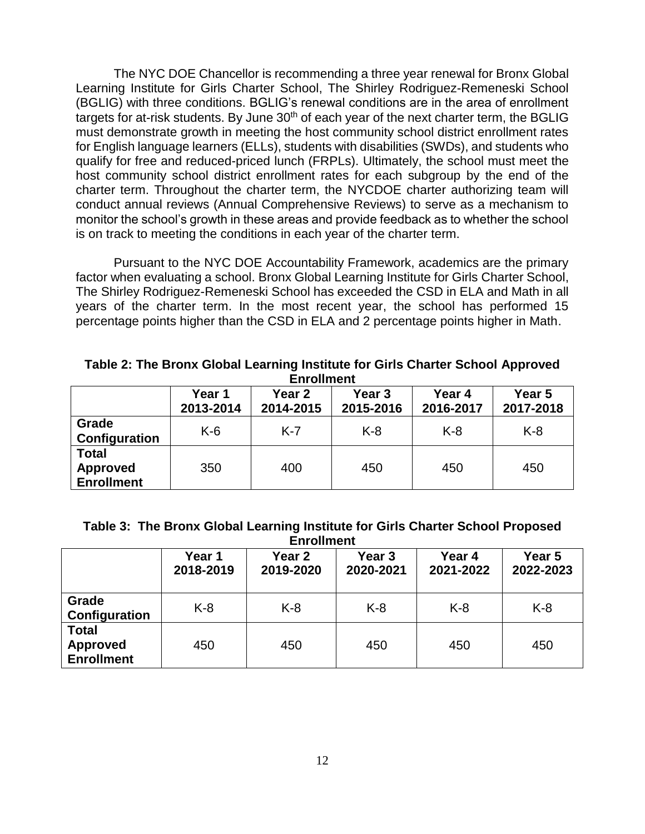The NYC DOE Chancellor is recommending a three year renewal for Bronx Global Learning Institute for Girls Charter School, The Shirley Rodriguez-Remeneski School (BGLIG) with three conditions. BGLIG's renewal conditions are in the area of enrollment targets for at-risk students. By June 30<sup>th</sup> of each year of the next charter term, the BGLIG must demonstrate growth in meeting the host community school district enrollment rates for English language learners (ELLs), students with disabilities (SWDs), and students who qualify for free and reduced-priced lunch (FRPLs). Ultimately, the school must meet the host community school district enrollment rates for each subgroup by the end of the charter term. Throughout the charter term, the NYCDOE charter authorizing team will conduct annual reviews (Annual Comprehensive Reviews) to serve as a mechanism to monitor the school's growth in these areas and provide feedback as to whether the school is on track to meeting the conditions in each year of the charter term.

Pursuant to the NYC DOE Accountability Framework, academics are the primary factor when evaluating a school. Bronx Global Learning Institute for Girls Charter School, The Shirley Rodriguez-Remeneski School has exceeded the CSD in ELA and Math in all years of the charter term. In the most recent year, the school has performed 15 percentage points higher than the CSD in ELA and 2 percentage points higher in Math.

**Table 2: The Bronx Global Learning Institute for Girls Charter School Approved Enrollment**

|                                                      | Year 1<br>2013-2014 | Year 2<br>2014-2015 | Year <sub>3</sub><br>2015-2016 | Year 4<br>2016-2017 | Year 5<br>2017-2018 |
|------------------------------------------------------|---------------------|---------------------|--------------------------------|---------------------|---------------------|
| Grade<br>Configuration                               | $K-6$               | $K-7$               | $K-8$                          | $K-8$               | $K-8$               |
| <b>Total</b><br><b>Approved</b><br><b>Enrollment</b> | 350                 | 400                 | 450                            | 450                 | 450                 |

| Table 3: The Bronx Global Learning Institute for Girls Charter School Proposed |
|--------------------------------------------------------------------------------|
| <b>Enrollment</b>                                                              |

|                                                      | Year 1<br>2018-2019 | Year <sub>2</sub><br>2019-2020 | Year <sub>3</sub><br>2020-2021 | Year 4<br>2021-2022 | Year 5<br>2022-2023 |
|------------------------------------------------------|---------------------|--------------------------------|--------------------------------|---------------------|---------------------|
| Grade<br>Configuration                               | $K-8$               | $K-8$                          | $K-8$                          | $K-8$               | $K-8$               |
| <b>Total</b><br><b>Approved</b><br><b>Enrollment</b> | 450                 | 450                            | 450                            | 450                 | 450                 |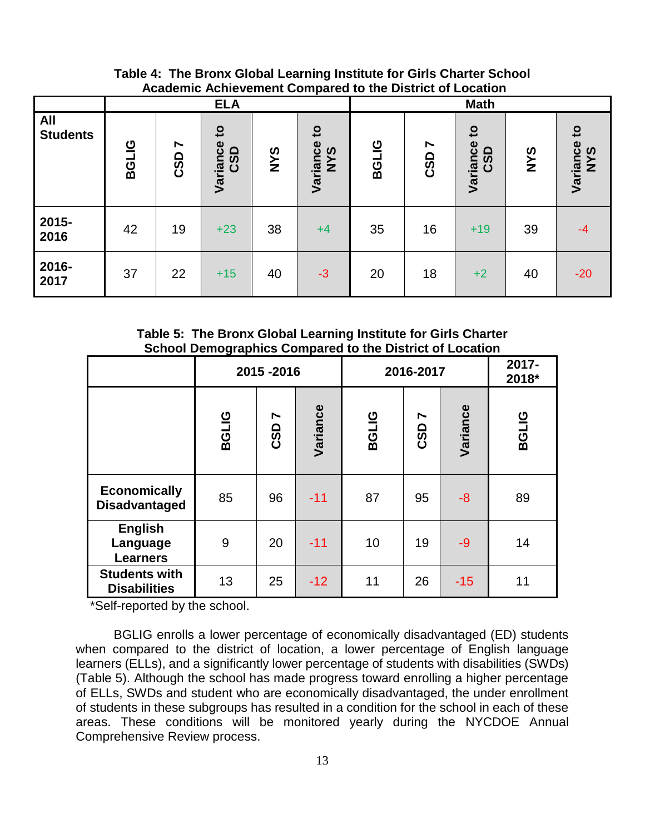**Table 4: The Bronx Global Learning Institute for Girls Charter School Academic Achievement Compared to the District of Location**

|                               | <b>ELA</b>   |                                     |                                                    |            |                                        |              | <b>Math</b> |                                   |            |                                 |
|-------------------------------|--------------|-------------------------------------|----------------------------------------------------|------------|----------------------------------------|--------------|-------------|-----------------------------------|------------|---------------------------------|
| <b>All</b><br><b>Students</b> | <b>BGLIG</b> | $\blacktriangleright$<br><b>CSD</b> | $\mathbf{S}$<br>$\bullet$<br><b>CSD</b><br>Varianc | <b>SAN</b> | $\mathbf{S}$<br>Variance<br><b>NYS</b> | <b>BGLIG</b> | N<br>CSD    | $\overline{c}$<br>Variance<br>CSD | <b>SAN</b> | $\mathbf{c}$<br>Variance<br>NYS |
| 2015-<br>2016                 | 42           | 19                                  | $+23$                                              | 38         | $+4$                                   | 35           | 16          | $+19$                             | 39         | $-4$                            |
| 2016-<br>2017                 | 37           | 22                                  | $+15$                                              | 40         | $-3$                                   | 20           | 18          | $+2$                              | 40         | $-20$                           |

**Table 5: The Bronx Global Learning Institute for Girls Charter School Demographics Compared to the District of Location**

|                                               | 2015-2016    |          |          | 2016-2017    | 2017-<br>2018* |          |              |
|-----------------------------------------------|--------------|----------|----------|--------------|----------------|----------|--------------|
|                                               | <b>BGLIG</b> | N<br>CSD | Variance | <b>BGLIG</b> | N<br>CSD       | Variance | <b>BGLIG</b> |
| <b>Economically</b><br><b>Disadvantaged</b>   | 85           | 96       | $-11$    | 87           | 95             | -8       | 89           |
| <b>English</b><br>Language<br><b>Learners</b> | 9            | 20       | $-11$    | 10           | 19             | $-9$     | 14           |
| <b>Students with</b><br><b>Disabilities</b>   | 13           | 25       | $-12$    | 11           | 26             | $-15$    | 11           |

\*Self-reported by the school.

BGLIG enrolls a lower percentage of economically disadvantaged (ED) students when compared to the district of location, a lower percentage of English language learners (ELLs), and a significantly lower percentage of students with disabilities (SWDs) (Table 5). Although the school has made progress toward enrolling a higher percentage of ELLs, SWDs and student who are economically disadvantaged, the under enrollment of students in these subgroups has resulted in a condition for the school in each of these areas. These conditions will be monitored yearly during the NYCDOE Annual Comprehensive Review process.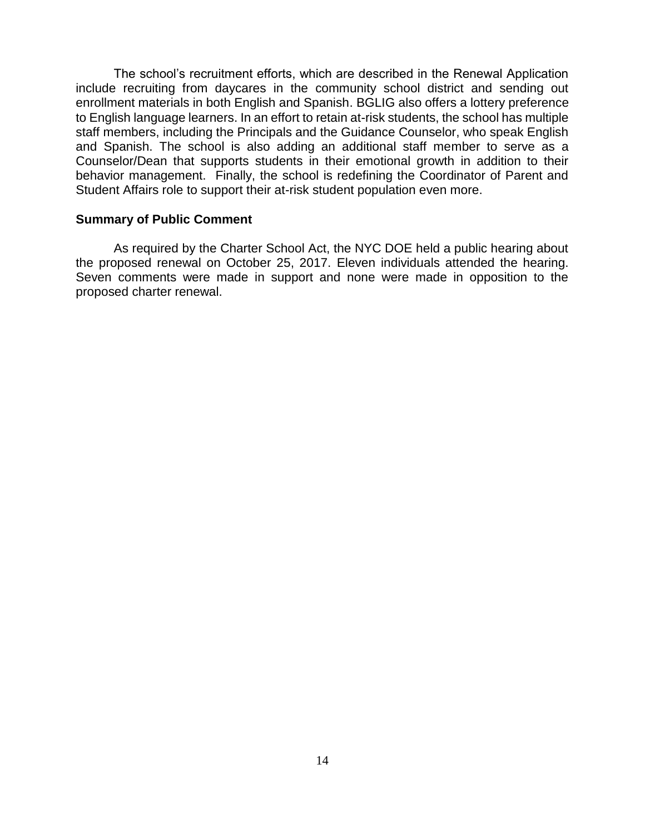The school's recruitment efforts, which are described in the Renewal Application include recruiting from daycares in the community school district and sending out enrollment materials in both English and Spanish. BGLIG also offers a lottery preference to English language learners. In an effort to retain at-risk students, the school has multiple staff members, including the Principals and the Guidance Counselor, who speak English and Spanish. The school is also adding an additional staff member to serve as a Counselor/Dean that supports students in their emotional growth in addition to their behavior management. Finally, the school is redefining the Coordinator of Parent and Student Affairs role to support their at-risk student population even more.

#### **Summary of Public Comment**

As required by the Charter School Act, the NYC DOE held a public hearing about the proposed renewal on October 25, 2017. Eleven individuals attended the hearing. Seven comments were made in support and none were made in opposition to the proposed charter renewal.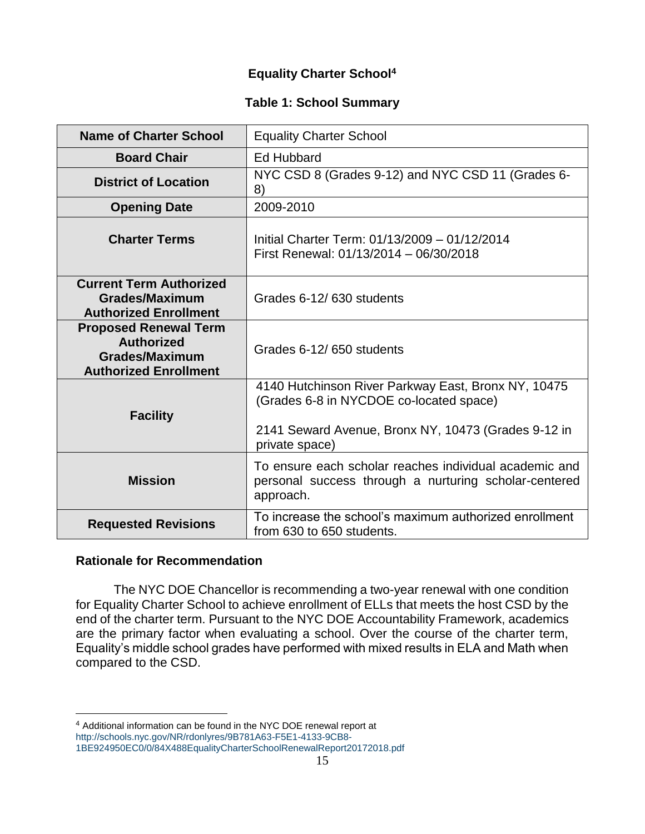# **Equality Charter School<sup>4</sup>**

## **Table 1: School Summary**

| Name of Charter School                                                                                     | <b>Equality Charter School</b>                                                                                                                                          |
|------------------------------------------------------------------------------------------------------------|-------------------------------------------------------------------------------------------------------------------------------------------------------------------------|
| <b>Board Chair</b>                                                                                         | <b>Ed Hubbard</b>                                                                                                                                                       |
| <b>District of Location</b>                                                                                | NYC CSD 8 (Grades 9-12) and NYC CSD 11 (Grades 6-<br>8)                                                                                                                 |
| <b>Opening Date</b>                                                                                        | 2009-2010                                                                                                                                                               |
| <b>Charter Terms</b>                                                                                       | Initial Charter Term: 01/13/2009 - 01/12/2014<br>First Renewal: 01/13/2014 - 06/30/2018                                                                                 |
| <b>Current Term Authorized</b><br><b>Grades/Maximum</b><br><b>Authorized Enrollment</b>                    | Grades 6-12/630 students                                                                                                                                                |
| <b>Proposed Renewal Term</b><br><b>Authorized</b><br><b>Grades/Maximum</b><br><b>Authorized Enrollment</b> | Grades 6-12/650 students                                                                                                                                                |
| <b>Facility</b>                                                                                            | 4140 Hutchinson River Parkway East, Bronx NY, 10475<br>(Grades 6-8 in NYCDOE co-located space)<br>2141 Seward Avenue, Bronx NY, 10473 (Grades 9-12 in<br>private space) |
| <b>Mission</b>                                                                                             | To ensure each scholar reaches individual academic and<br>personal success through a nurturing scholar-centered<br>approach.                                            |
| <b>Requested Revisions</b>                                                                                 | To increase the school's maximum authorized enrollment<br>from 630 to 650 students.                                                                                     |

## **Rationale for Recommendation**

 $\overline{a}$ 

The NYC DOE Chancellor is recommending a two-year renewal with one condition for Equality Charter School to achieve enrollment of ELLs that meets the host CSD by the end of the charter term. Pursuant to the NYC DOE Accountability Framework, academics are the primary factor when evaluating a school. Over the course of the charter term, Equality's middle school grades have performed with mixed results in ELA and Math when compared to the CSD.

<sup>4</sup> Additional information can be found in the NYC DOE renewal report at [http://schools.nyc.gov/NR/rdonlyres/9B781A63-F5E1-4133-9CB8-](http://schools.nyc.gov/NR/rdonlyres/9B781A63-F5E1-4133-9CB8-1BE924950EC0/0/84X488EqualityCharterSchoolRenewalReport20172018.pdf)

[<sup>1</sup>BE924950EC0/0/84X488EqualityCharterSchoolRenewalReport20172018.pdf](http://schools.nyc.gov/NR/rdonlyres/9B781A63-F5E1-4133-9CB8-1BE924950EC0/0/84X488EqualityCharterSchoolRenewalReport20172018.pdf)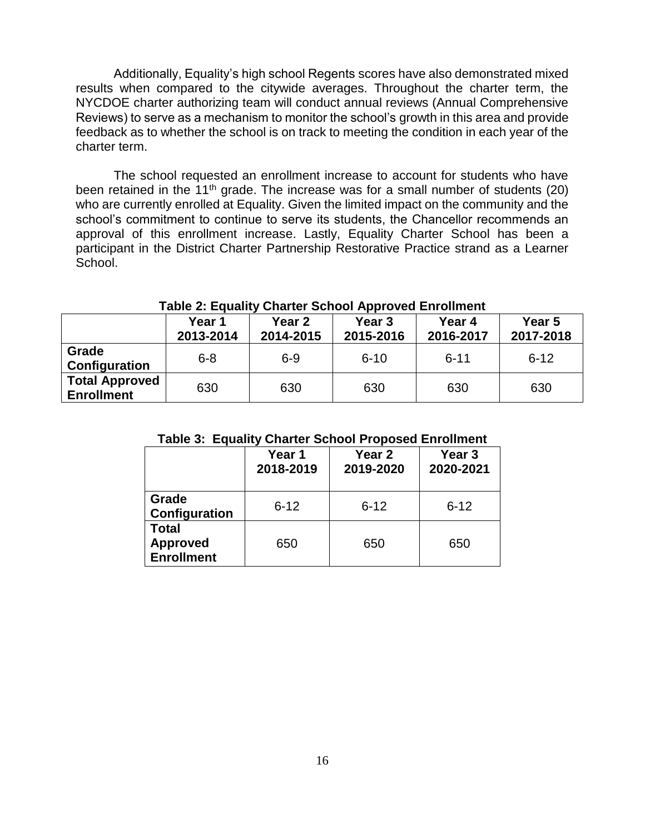Additionally, Equality's high school Regents scores have also demonstrated mixed results when compared to the citywide averages. Throughout the charter term, the NYCDOE charter authorizing team will conduct annual reviews (Annual Comprehensive Reviews) to serve as a mechanism to monitor the school's growth in this area and provide feedback as to whether the school is on track to meeting the condition in each year of the charter term.

The school requested an enrollment increase to account for students who have been retained in the 11<sup>th</sup> grade. The increase was for a small number of students (20) who are currently enrolled at Equality. Given the limited impact on the community and the school's commitment to continue to serve its students, the Chancellor recommends an approval of this enrollment increase. Lastly, Equality Charter School has been a participant in the District Charter Partnership Restorative Practice strand as a Learner School.

|                                            | Year 1<br>2013-2014 | Year 2<br>2014-2015 | Year <sub>3</sub><br>2015-2016 | Year 4<br>2016-2017 | Year 5<br>2017-2018 |
|--------------------------------------------|---------------------|---------------------|--------------------------------|---------------------|---------------------|
| Grade<br>Configuration                     | $6 - 8$             | $6 - 9$             | $6 - 10$                       | $6 - 11$            | $6 - 12$            |
| <b>Total Approved</b><br><b>Enrollment</b> | 630                 | 630                 | 630                            | 630                 | 630                 |

#### **Table 2: Equality Charter School Approved Enrollment**

#### **Table 3: Equality Charter School Proposed Enrollment**

|                                                      | Year 1<br>2018-2019 | Year 2<br>2019-2020 | Year <sub>3</sub><br>2020-2021 |
|------------------------------------------------------|---------------------|---------------------|--------------------------------|
| Grade<br>Configuration                               | $6 - 12$            | $6 - 12$            | $6 - 12$                       |
| <b>Total</b><br><b>Approved</b><br><b>Enrollment</b> | 650                 | 650                 | 650                            |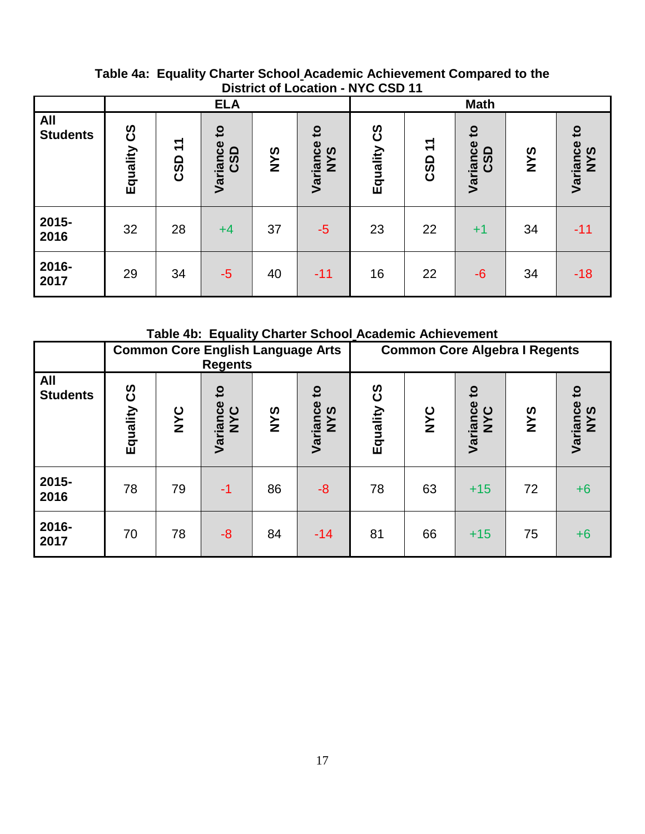|                               |                       |                     | <b>ELA</b>                      |            |                                   | <b>Math</b>    |                            |                                 |            |                                        |
|-------------------------------|-----------------------|---------------------|---------------------------------|------------|-----------------------------------|----------------|----------------------------|---------------------------------|------------|----------------------------------------|
| <b>All</b><br><b>Students</b> | <u>င်</u><br>Equality | $\mathbf{r}$<br>CSD | $\mathbf{c}$<br>Variance<br>CSD | <b>SAN</b> | $\overline{c}$<br>Variance<br>NYS | 33<br>Equality | $\mathbf{r}$<br><b>CSD</b> | $\mathbf{c}$<br>Variance<br>CSD | <b>SAN</b> | $\mathbf{S}$<br>Variance<br><b>NYS</b> |
| 2015-<br>2016                 | 32                    | 28                  | $+4$                            | 37         | $-5$                              | 23             | 22                         | $+1$                            | 34         | $-11$                                  |
| 2016-<br>2017                 | 29                    | 34                  | $-5$                            | 40         | $-11$                             | 16             | 22                         | $-6$                            | 34         | $-18$                                  |

## **Table 4a: Equality Charter School Academic Achievement Compared to the District of Location - NYC CSD 11**

**Table 4b: Equality Charter School Academic Achievement** 

|                        |             |            | <b>Common Core English Language Arts</b><br><b>Regents</b> |            |                                          | <b>Common Core Algebra I Regents</b> |     |                                 |            |                 |
|------------------------|-------------|------------|------------------------------------------------------------|------------|------------------------------------------|--------------------------------------|-----|---------------------------------|------------|-----------------|
| All<br><b>Students</b> | Equality CS | <b>NYC</b> | $\overline{\mathbf{c}}$<br>Variance<br>NYC                 | <b>SAN</b> | $\overline{c}$<br>Variance<br><b>NYS</b> | <b>S၁</b><br>Equality                | NYC | $\mathbf{c}$<br>Variance<br>NYC | <b>SAN</b> | Variance<br>NYS |
| 2015-<br>2016          | 78          | 79         | $-1$                                                       | 86         | $-8$                                     | 78                                   | 63  | $+15$                           | 72         | $+6$            |
| 2016-<br>2017          | 70          | 78         | $-8$                                                       | 84         | $-14$                                    | 81                                   | 66  | $+15$                           | 75         | $+6$            |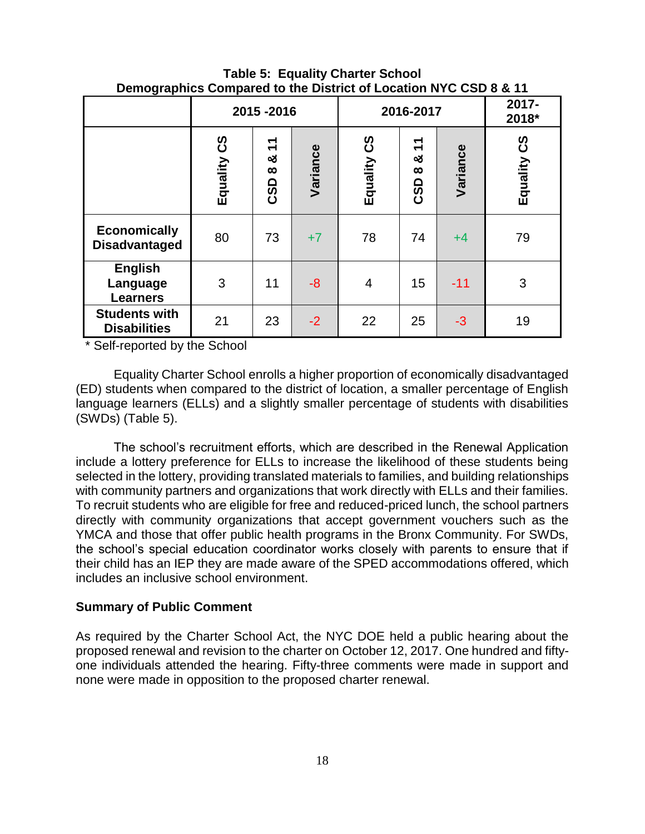|                                               |                       | 2015-2016                                   |          | 2016-2017   | 2017-<br>2018*                        |          |             |
|-----------------------------------------------|-----------------------|---------------------------------------------|----------|-------------|---------------------------------------|----------|-------------|
|                                               | <u> ၁</u><br>Equality | $\mathbf{r}$<br>ఱ<br>$\infty$<br><b>CSD</b> | Variance | Equality CS | $\mathbf{r}$<br>න්<br>$\infty$<br>CSD | Variance | Equality CS |
| <b>Economically</b><br><b>Disadvantaged</b>   | 80                    | 73                                          | $+7$     | 78          | 74                                    | $+4$     | 79          |
| <b>English</b><br>Language<br><b>Learners</b> | 3                     | 11                                          | $-8$     | 4           | 15                                    | $-11$    | 3           |
| <b>Students with</b><br><b>Disabilities</b>   | 21                    | 23                                          | $-2$     | 22          | 25                                    | $-3$     | 19          |

**Table 5: Equality Charter School Demographics Compared to the District of Location NYC CSD 8 & 11**

\* Self-reported by the School

Equality Charter School enrolls a higher proportion of economically disadvantaged (ED) students when compared to the district of location, a smaller percentage of English language learners (ELLs) and a slightly smaller percentage of students with disabilities (SWDs) (Table 5).

The school's recruitment efforts, which are described in the Renewal Application include a lottery preference for ELLs to increase the likelihood of these students being selected in the lottery, providing translated materials to families, and building relationships with community partners and organizations that work directly with ELLs and their families. To recruit students who are eligible for free and reduced-priced lunch, the school partners directly with community organizations that accept government vouchers such as the YMCA and those that offer public health programs in the Bronx Community. For SWDs, the school's special education coordinator works closely with parents to ensure that if their child has an IEP they are made aware of the SPED accommodations offered, which includes an inclusive school environment.

#### **Summary of Public Comment**

As required by the Charter School Act, the NYC DOE held a public hearing about the proposed renewal and revision to the charter on October 12, 2017. One hundred and fiftyone individuals attended the hearing. Fifty-three comments were made in support and none were made in opposition to the proposed charter renewal.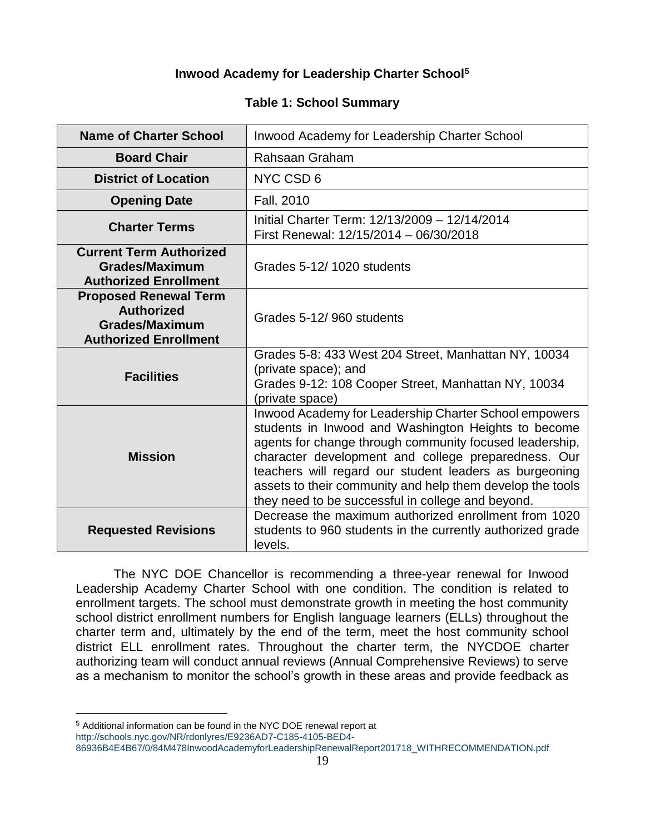## **Inwood Academy for Leadership Charter School<sup>5</sup>**

## **Table 1: School Summary**

| <b>Name of Charter School</b>                                                                              | Inwood Academy for Leadership Charter School                                                                                                                                                                                                                                                                                                                                                               |
|------------------------------------------------------------------------------------------------------------|------------------------------------------------------------------------------------------------------------------------------------------------------------------------------------------------------------------------------------------------------------------------------------------------------------------------------------------------------------------------------------------------------------|
| <b>Board Chair</b>                                                                                         | Rahsaan Graham                                                                                                                                                                                                                                                                                                                                                                                             |
| <b>District of Location</b>                                                                                | NYC CSD 6                                                                                                                                                                                                                                                                                                                                                                                                  |
| <b>Opening Date</b>                                                                                        | Fall, 2010                                                                                                                                                                                                                                                                                                                                                                                                 |
| <b>Charter Terms</b>                                                                                       | Initial Charter Term: 12/13/2009 - 12/14/2014<br>First Renewal: 12/15/2014 - 06/30/2018                                                                                                                                                                                                                                                                                                                    |
| <b>Current Term Authorized</b><br><b>Grades/Maximum</b><br><b>Authorized Enrollment</b>                    | Grades 5-12/1020 students                                                                                                                                                                                                                                                                                                                                                                                  |
| <b>Proposed Renewal Term</b><br><b>Authorized</b><br><b>Grades/Maximum</b><br><b>Authorized Enrollment</b> | Grades 5-12/960 students                                                                                                                                                                                                                                                                                                                                                                                   |
| <b>Facilities</b>                                                                                          | Grades 5-8: 433 West 204 Street, Manhattan NY, 10034<br>(private space); and<br>Grades 9-12: 108 Cooper Street, Manhattan NY, 10034<br>(private space)                                                                                                                                                                                                                                                     |
| <b>Mission</b>                                                                                             | Inwood Academy for Leadership Charter School empowers<br>students in Inwood and Washington Heights to become<br>agents for change through community focused leadership,<br>character development and college preparedness. Our<br>teachers will regard our student leaders as burgeoning<br>assets to their community and help them develop the tools<br>they need to be successful in college and beyond. |
| <b>Requested Revisions</b>                                                                                 | Decrease the maximum authorized enrollment from 1020<br>students to 960 students in the currently authorized grade<br>levels.                                                                                                                                                                                                                                                                              |

The NYC DOE Chancellor is recommending a three-year renewal for Inwood Leadership Academy Charter School with one condition. The condition is related to enrollment targets. The school must demonstrate growth in meeting the host community school district enrollment numbers for English language learners (ELLs) throughout the charter term and, ultimately by the end of the term, meet the host community school district ELL enrollment rates. Throughout the charter term, the NYCDOE charter authorizing team will conduct annual reviews (Annual Comprehensive Reviews) to serve as a mechanism to monitor the school's growth in these areas and provide feedback as

 $\overline{a}$ 

<sup>5</sup> Additional information can be found in the NYC DOE renewal report at

[http://schools.nyc.gov/NR/rdonlyres/E9236AD7-C185-4105-BED4-](http://schools.nyc.gov/NR/rdonlyres/E9236AD7-C185-4105-BED4-86936B4E4B67/0/84M478InwoodAcademyforLeadershipRenewalReport201718_WITHRECOMMENDATION.pdf) [86936B4E4B67/0/84M478InwoodAcademyforLeadershipRenewalReport201718\\_WITHRECOMMENDATION.pdf](http://schools.nyc.gov/NR/rdonlyres/E9236AD7-C185-4105-BED4-86936B4E4B67/0/84M478InwoodAcademyforLeadershipRenewalReport201718_WITHRECOMMENDATION.pdf)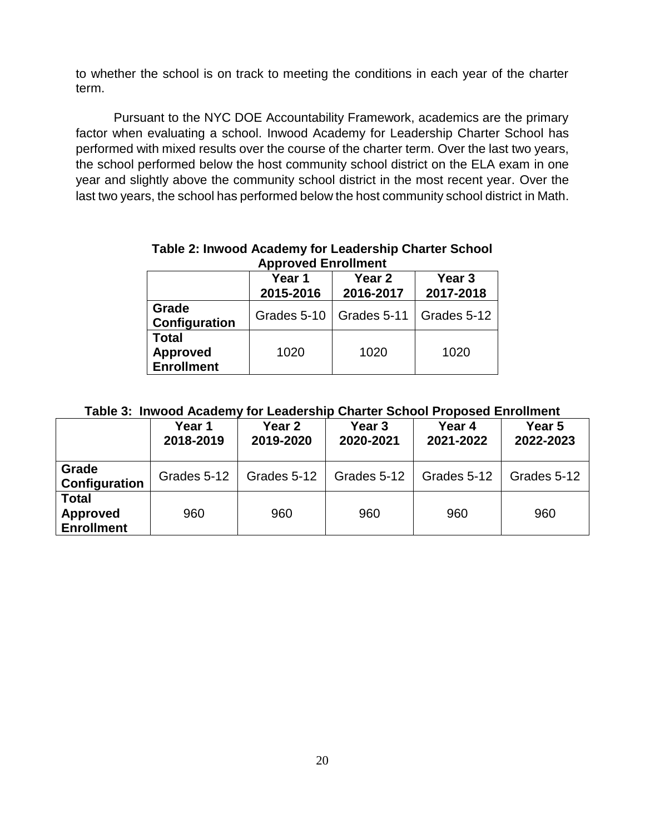to whether the school is on track to meeting the conditions in each year of the charter term.

Pursuant to the NYC DOE Accountability Framework, academics are the primary factor when evaluating a school. Inwood Academy for Leadership Charter School has performed with mixed results over the course of the charter term. Over the last two years, the school performed below the host community school district on the ELA exam in one year and slightly above the community school district in the most recent year. Over the last two years, the school has performed below the host community school district in Math.

| <b>Approved Enrollment</b>                           |                                |                         |      |  |  |  |  |  |  |
|------------------------------------------------------|--------------------------------|-------------------------|------|--|--|--|--|--|--|
|                                                      | Year <sub>2</sub><br>2016-2017 | Year 3<br>2017-2018     |      |  |  |  |  |  |  |
| Grade<br>Configuration                               | Grades 5-10                    | Grades 5-11 Grades 5-12 |      |  |  |  |  |  |  |
| <b>Total</b><br><b>Approved</b><br><b>Enrollment</b> | 1020                           | 1020                    | 1020 |  |  |  |  |  |  |

# **Table 2: Inwood Academy for Leadership Charter School**

## **Table 3: Inwood Academy for Leadership Charter School Proposed Enrollment**

|                                                      | Year 1<br>2018-2019 | Year <sub>2</sub><br>2019-2020 | Year <sub>3</sub><br>2020-2021 | Year 4<br>2021-2022 | Year 5<br>2022-2023 |
|------------------------------------------------------|---------------------|--------------------------------|--------------------------------|---------------------|---------------------|
| Grade<br>Configuration                               | Grades 5-12         | Grades 5-12                    | Grades 5-12                    | Grades 5-12         | Grades 5-12         |
| <b>Total</b><br><b>Approved</b><br><b>Enrollment</b> | 960                 | 960                            | 960                            | 960                 | 960                 |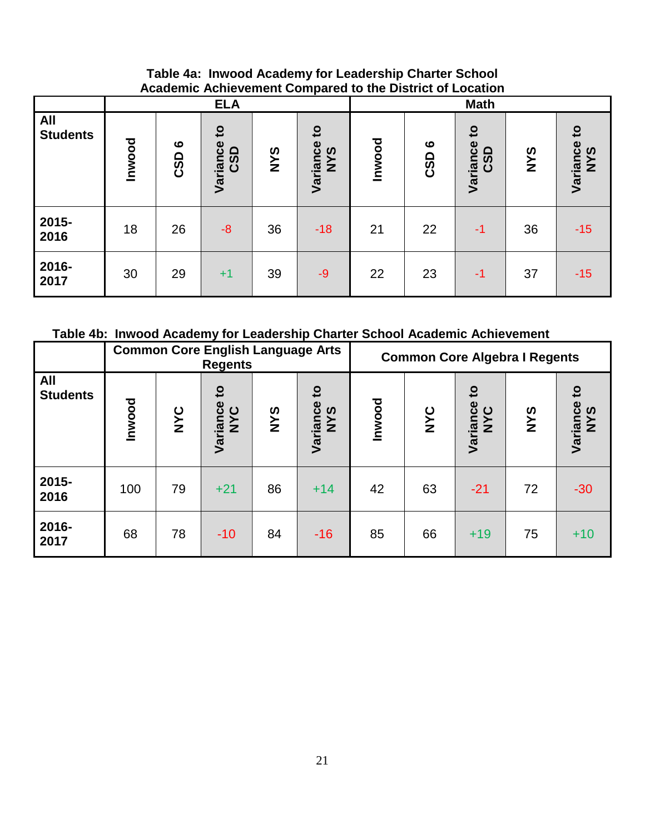## **Table 4a: Inwood Academy for Leadership Charter School Academic Achievement Compared to the District of Location**

|                               |        |                              | <b>ELA</b>                      |            |                                        | <b>Math</b> |                                     |                                 |            |                                 |
|-------------------------------|--------|------------------------------|---------------------------------|------------|----------------------------------------|-------------|-------------------------------------|---------------------------------|------------|---------------------------------|
| <b>All</b><br><b>Students</b> | Inwood | $\boldsymbol{\omega}$<br>CSD | $\mathbf{c}$<br>Variance<br>CSD | <b>SAN</b> | $\mathbf{c}$<br>Variance<br><b>SAN</b> | Inwood      | $\boldsymbol{\omega}$<br><b>CSD</b> | $\mathbf{S}$<br>Variance<br>CSD | <b>SAN</b> | $\mathbf{c}$<br>Variance<br>NYS |
| 2015-<br>2016                 | 18     | 26                           | $-8$                            | 36         | $-18$                                  | 21          | 22                                  | $-1$                            | 36         | $-15$                           |
| 2016-<br>2017                 | 30     | 29                           | $+1$                            | 39         | $-9$                                   | 22          | 23                                  | -1                              | 37         | $-15$                           |

**Table 4b: Inwood Academy for Leadership Charter School Academic Achievement** 

|                        |        |            | <b>Common Core English Language Arts</b><br><b>Regents</b> |            |                                                   | <b>Common Core Algebra I Regents</b> |     |                                 |            |                                 |
|------------------------|--------|------------|------------------------------------------------------------|------------|---------------------------------------------------|--------------------------------------|-----|---------------------------------|------------|---------------------------------|
| All<br><b>Students</b> | Inwood | <b>NYC</b> | Variance<br>NYC                                            | <b>SAN</b> | $\overline{\mathbf{c}}$<br>Variance<br><b>NYS</b> | <b>Inwood</b>                        | NYC | $\mathbf{c}$<br>Variance<br>NYC | <b>SAN</b> | $\mathbf{5}$<br>Variance<br>NYS |
| 2015-<br>2016          | 100    | 79         | $+21$                                                      | 86         | $+14$                                             | 42                                   | 63  | $-21$                           | 72         | $-30$                           |
| 2016-<br>2017          | 68     | 78         | $-10$                                                      | 84         | $-16$                                             | 85                                   | 66  | $+19$                           | 75         | $+10$                           |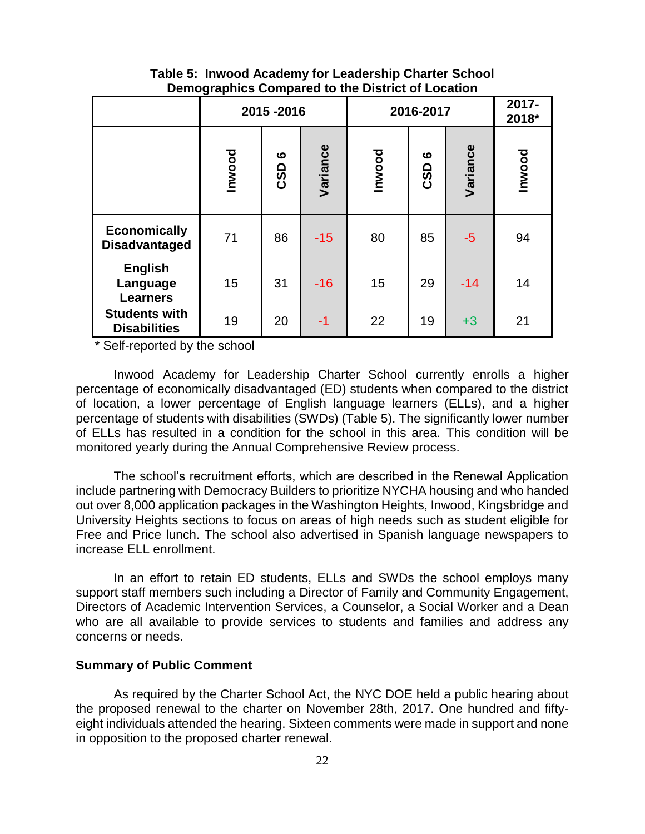## **Table 5: Inwood Academy for Leadership Charter School Demographics Compared to the District of Location**

|                                               |        | 2015-2016 |          | 2016-2017     | 2017-<br>2018* |          |               |
|-----------------------------------------------|--------|-----------|----------|---------------|----------------|----------|---------------|
|                                               | Inwood | ဖ<br>CSD  | Variance | <b>Inwood</b> | ဖ<br>CSD       | Variance | <b>Inwood</b> |
| <b>Economically</b><br><b>Disadvantaged</b>   | 71     | 86        | $-15$    | 80            | 85             | $-5$     | 94            |
| <b>English</b><br>Language<br><b>Learners</b> | 15     | 31        | $-16$    | 15            | 29             | $-14$    | 14            |
| <b>Students with</b><br><b>Disabilities</b>   | 19     | 20        | $-1$     | 22            | 19             | $+3$     | 21            |

\* Self-reported by the school

Inwood Academy for Leadership Charter School currently enrolls a higher percentage of economically disadvantaged (ED) students when compared to the district of location, a lower percentage of English language learners (ELLs), and a higher percentage of students with disabilities (SWDs) (Table 5). The significantly lower number of ELLs has resulted in a condition for the school in this area. This condition will be monitored yearly during the Annual Comprehensive Review process.

The school's recruitment efforts, which are described in the Renewal Application include partnering with Democracy Builders to prioritize NYCHA housing and who handed out over 8,000 application packages in the Washington Heights, Inwood, Kingsbridge and University Heights sections to focus on areas of high needs such as student eligible for Free and Price lunch. The school also advertised in Spanish language newspapers to increase ELL enrollment.

In an effort to retain ED students, ELLs and SWDs the school employs many support staff members such including a Director of Family and Community Engagement, Directors of Academic Intervention Services, a Counselor, a Social Worker and a Dean who are all available to provide services to students and families and address any concerns or needs.

#### **Summary of Public Comment**

As required by the Charter School Act, the NYC DOE held a public hearing about the proposed renewal to the charter on November 28th, 2017. One hundred and fiftyeight individuals attended the hearing. Sixteen comments were made in support and none in opposition to the proposed charter renewal.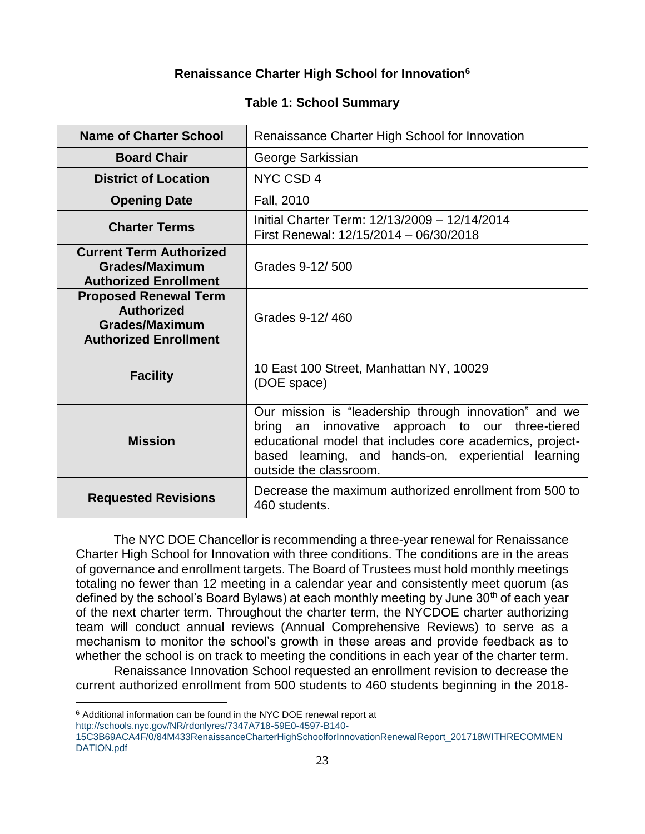## **Renaissance Charter High School for Innovation<sup>6</sup>**

## **Table 1: School Summary**

| Name of Charter School                                                                                     | Renaissance Charter High School for Innovation                                                                                                                                                                                                            |
|------------------------------------------------------------------------------------------------------------|-----------------------------------------------------------------------------------------------------------------------------------------------------------------------------------------------------------------------------------------------------------|
| <b>Board Chair</b>                                                                                         | George Sarkissian                                                                                                                                                                                                                                         |
| <b>District of Location</b>                                                                                | NYC CSD 4                                                                                                                                                                                                                                                 |
| <b>Opening Date</b>                                                                                        | Fall, 2010                                                                                                                                                                                                                                                |
| <b>Charter Terms</b>                                                                                       | Initial Charter Term: 12/13/2009 - 12/14/2014<br>First Renewal: 12/15/2014 - 06/30/2018                                                                                                                                                                   |
| <b>Current Term Authorized</b><br><b>Grades/Maximum</b><br><b>Authorized Enrollment</b>                    | Grades 9-12/500                                                                                                                                                                                                                                           |
| <b>Proposed Renewal Term</b><br><b>Authorized</b><br><b>Grades/Maximum</b><br><b>Authorized Enrollment</b> | Grades 9-12/460                                                                                                                                                                                                                                           |
| <b>Facility</b>                                                                                            | 10 East 100 Street, Manhattan NY, 10029<br>(DOE space)                                                                                                                                                                                                    |
| <b>Mission</b>                                                                                             | Our mission is "leadership through innovation" and we<br>an innovative approach to our three-tiered<br>bring<br>educational model that includes core academics, project-<br>based learning, and hands-on, experiential learning<br>outside the classroom. |
| <b>Requested Revisions</b>                                                                                 | Decrease the maximum authorized enrollment from 500 to<br>460 students.                                                                                                                                                                                   |

The NYC DOE Chancellor is recommending a three-year renewal for Renaissance Charter High School for Innovation with three conditions. The conditions are in the areas of governance and enrollment targets. The Board of Trustees must hold monthly meetings totaling no fewer than 12 meeting in a calendar year and consistently meet quorum (as defined by the school's Board Bylaws) at each monthly meeting by June  $30<sup>th</sup>$  of each year of the next charter term. Throughout the charter term, the NYCDOE charter authorizing team will conduct annual reviews (Annual Comprehensive Reviews) to serve as a mechanism to monitor the school's growth in these areas and provide feedback as to whether the school is on track to meeting the conditions in each year of the charter term.

Renaissance Innovation School requested an enrollment revision to decrease the current authorized enrollment from 500 students to 460 students beginning in the 2018-

[http://schools.nyc.gov/NR/rdonlyres/7347A718-59E0-4597-B140-](http://schools.nyc.gov/NR/rdonlyres/7347A718-59E0-4597-B140-15C3B69ACA4F/0/84M433RenaissanceCharterHighSchoolforInnovationRenewalReport_201718WITHRECOMMENDATION.pdf)

 $\overline{a}$ 

<sup>6</sup> Additional information can be found in the NYC DOE renewal report at

[<sup>15</sup>C3B69ACA4F/0/84M433RenaissanceCharterHighSchoolforInnovationRenewalReport\\_201718WITHRECOMMEN](http://schools.nyc.gov/NR/rdonlyres/7347A718-59E0-4597-B140-15C3B69ACA4F/0/84M433RenaissanceCharterHighSchoolforInnovationRenewalReport_201718WITHRECOMMENDATION.pdf) [DATION.pdf](http://schools.nyc.gov/NR/rdonlyres/7347A718-59E0-4597-B140-15C3B69ACA4F/0/84M433RenaissanceCharterHighSchoolforInnovationRenewalReport_201718WITHRECOMMENDATION.pdf)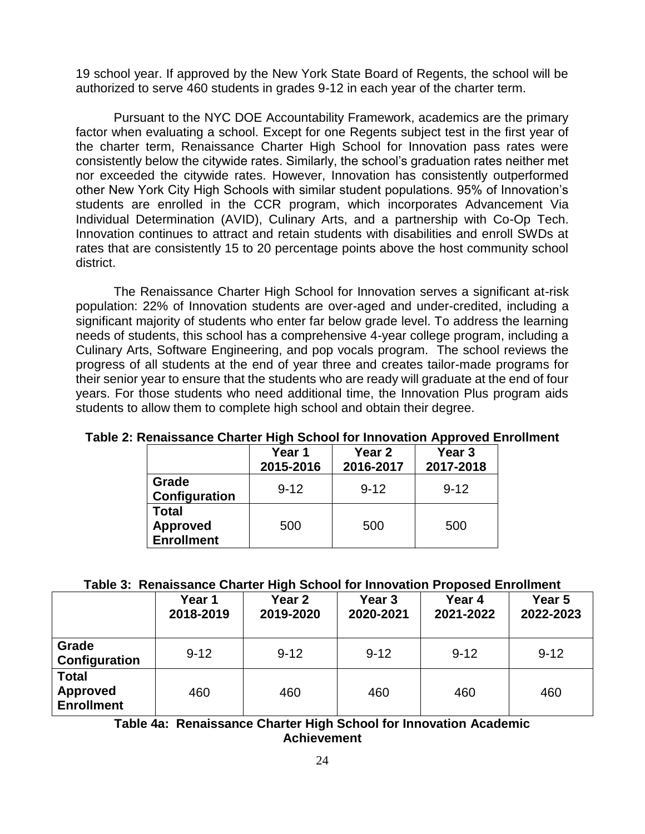19 school year. If approved by the New York State Board of Regents, the school will be authorized to serve 460 students in grades 9-12 in each year of the charter term.

Pursuant to the NYC DOE Accountability Framework, academics are the primary factor when evaluating a school. Except for one Regents subject test in the first year of the charter term, Renaissance Charter High School for Innovation pass rates were consistently below the citywide rates. Similarly, the school's graduation rates neither met nor exceeded the citywide rates. However, Innovation has consistently outperformed other New York City High Schools with similar student populations. 95% of Innovation's students are enrolled in the CCR program, which incorporates Advancement Via Individual Determination (AVID), Culinary Arts, and a partnership with Co-Op Tech. Innovation continues to attract and retain students with disabilities and enroll SWDs at rates that are consistently 15 to 20 percentage points above the host community school district.

The Renaissance Charter High School for Innovation serves a significant at-risk population: 22% of Innovation students are over-aged and under-credited, including a significant majority of students who enter far below grade level. To address the learning needs of students, this school has a comprehensive 4-year college program, including a Culinary Arts, Software Engineering, and pop vocals program. The school reviews the progress of all students at the end of year three and creates tailor-made programs for their senior year to ensure that the students who are ready will graduate at the end of four years. For those students who need additional time, the Innovation Plus program aids students to allow them to complete high school and obtain their degree.

|                                                      | Year 1<br>2015-2016 | Year 2<br>2016-2017 | Year 3<br>2017-2018 |
|------------------------------------------------------|---------------------|---------------------|---------------------|
| Grade<br>Configuration                               | $9 - 12$            | $9 - 12$            | $9 - 12$            |
| <b>Total</b><br><b>Approved</b><br><b>Enrollment</b> | 500                 | 500                 | 500                 |

#### **Table 2: Renaissance Charter High School for Innovation Approved Enrollment**

#### **Table 3: Renaissance Charter High School for Innovation Proposed Enrollment**

|                                                      | Year 1<br>2018-2019 | Year <sub>2</sub><br>2019-2020 | Year <sub>3</sub><br>2020-2021 | Year 4<br>2021-2022 | Year 5<br>2022-2023 |
|------------------------------------------------------|---------------------|--------------------------------|--------------------------------|---------------------|---------------------|
| Grade<br>Configuration                               | $9 - 12$            | $9 - 12$                       | $9 - 12$                       | $9 - 12$            | $9 - 12$            |
| <b>Total</b><br><b>Approved</b><br><b>Enrollment</b> | 460                 | 460                            | 460                            | 460                 | 460                 |

**Table 4a: Renaissance Charter High School for Innovation Academic Achievement**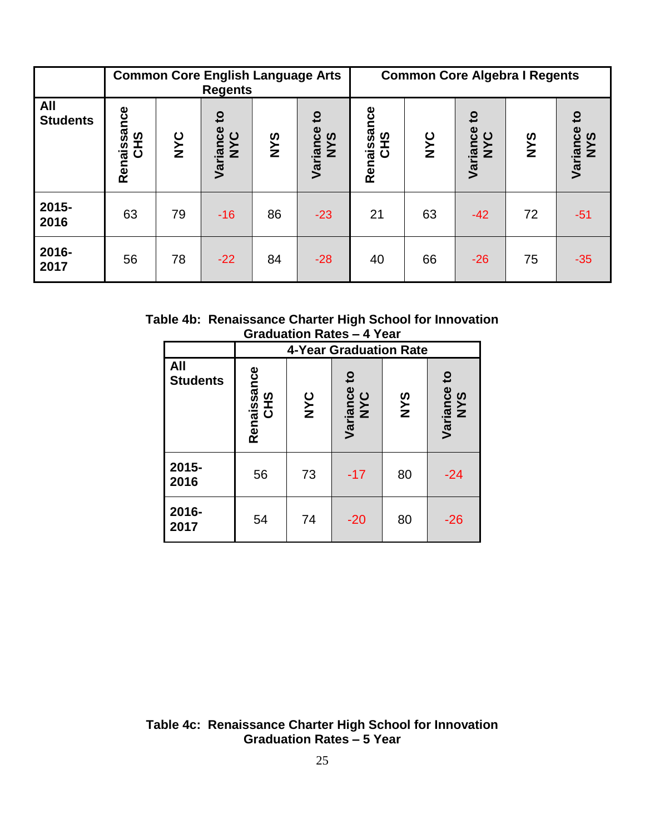|                        | <b>Common Core English Language Arts</b><br><b>Regents</b> |     |                                                        |            |                                 |                           |     | <b>Common Core Algebra I Regents</b> |            |                                 |
|------------------------|------------------------------------------------------------|-----|--------------------------------------------------------|------------|---------------------------------|---------------------------|-----|--------------------------------------|------------|---------------------------------|
| All<br><b>Students</b> | Renaissance<br><b>CHS</b>                                  | NYC | $\overline{\mathbf{c}}$<br>iance<br><b>NYC</b><br>Vari | <b>SAN</b> | $\mathbf{c}$<br>Variance<br>NYS | Renaissance<br><b>CHS</b> | NYC | $\mathbf{c}$<br>Variance<br>NYC      | <b>SAN</b> | $\mathbf{5}$<br>Variance<br>NYS |
| 2015-<br>2016          | 63                                                         | 79  | $-16$                                                  | 86         | $-23$                           | 21                        | 63  | $-42$                                | 72         | $-51$                           |
| 2016-<br>2017          | 56                                                         | 78  | $-22$                                                  | 84         | $-28$                           | 40                        | 66  | $-26$                                | 75         | $-35$                           |

**Table 4b: Renaissance Charter High School for Innovation Graduation Rates – 4 Year**

|                        |                    |     | <b>4-Year Graduation Rate</b> |            |                    |
|------------------------|--------------------|-----|-------------------------------|------------|--------------------|
| All<br><b>Students</b> | Renaissance<br>CHS | NYC | Variance to<br>NYC            | <b>SAN</b> | Variance to<br>NYS |
| 2015-<br>2016          | 56                 | 73  | $-17$                         | 80         | $-24$              |
| 2016-<br>2017          | 54                 | 74  | $-20$                         | 80         | $-26$              |

**Table 4c: Renaissance Charter High School for Innovation Graduation Rates – 5 Year**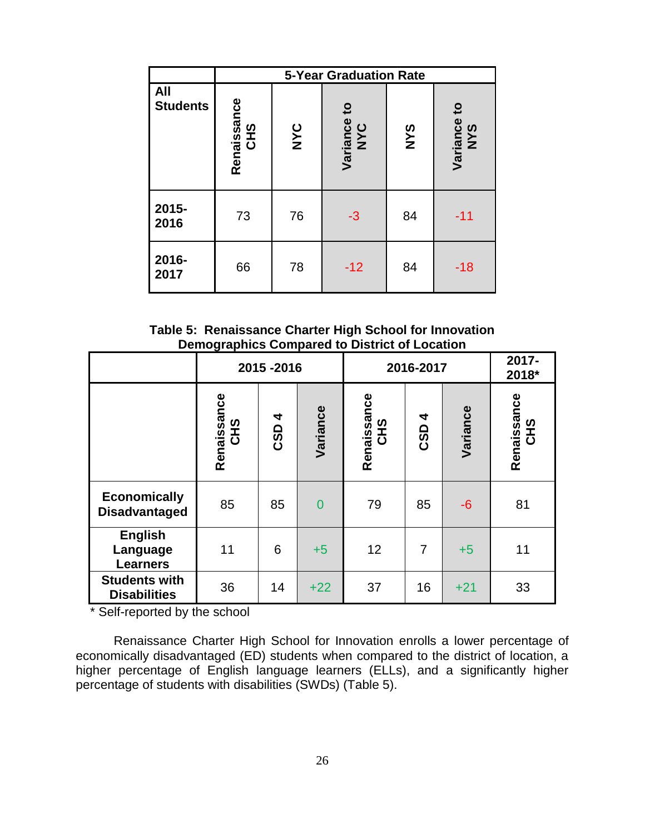|                               |                           | <b>5-Year Graduation Rate</b> |                    |            |                    |  |  |  |  |  |  |
|-------------------------------|---------------------------|-------------------------------|--------------------|------------|--------------------|--|--|--|--|--|--|
| <b>All</b><br><b>Students</b> | Renaissance<br><b>CHS</b> | <b>NYC</b>                    | Variance to<br>NYC | <b>SAN</b> | Variance to<br>NYS |  |  |  |  |  |  |
| 2015-<br>2016                 | 73                        | 76                            | $-3$               | 84         | $-11$              |  |  |  |  |  |  |
| 2016-<br>2017                 | 66                        | 78                            | $-12$              | 84         | -18                |  |  |  |  |  |  |

**Table 5: Renaissance Charter High School for Innovation Demographics Compared to District of Location**

|                                               | 2015-2016                 |       |                | 2016-2017          | 2017-<br>2018* |          |                    |
|-----------------------------------------------|---------------------------|-------|----------------|--------------------|----------------|----------|--------------------|
|                                               | Renaissance<br><b>CHS</b> | CSD 4 | Variance       | Renaissance<br>CHS | 4<br>CSD       | Variance | Renaissance<br>CHS |
| <b>Economically</b><br><b>Disadvantaged</b>   | 85                        | 85    | $\overline{0}$ | 79                 | 85             | $-6$     | 81                 |
| <b>English</b><br>Language<br><b>Learners</b> | 11                        | 6     | $+5$           | 12                 | $\overline{7}$ | $+5$     | 11                 |
| <b>Students with</b><br><b>Disabilities</b>   | 36                        | 14    | $+22$          | 37                 | 16             | $+21$    | 33                 |

\* Self-reported by the school

Renaissance Charter High School for Innovation enrolls a lower percentage of economically disadvantaged (ED) students when compared to the district of location, a higher percentage of English language learners (ELLs), and a significantly higher percentage of students with disabilities (SWDs) (Table 5).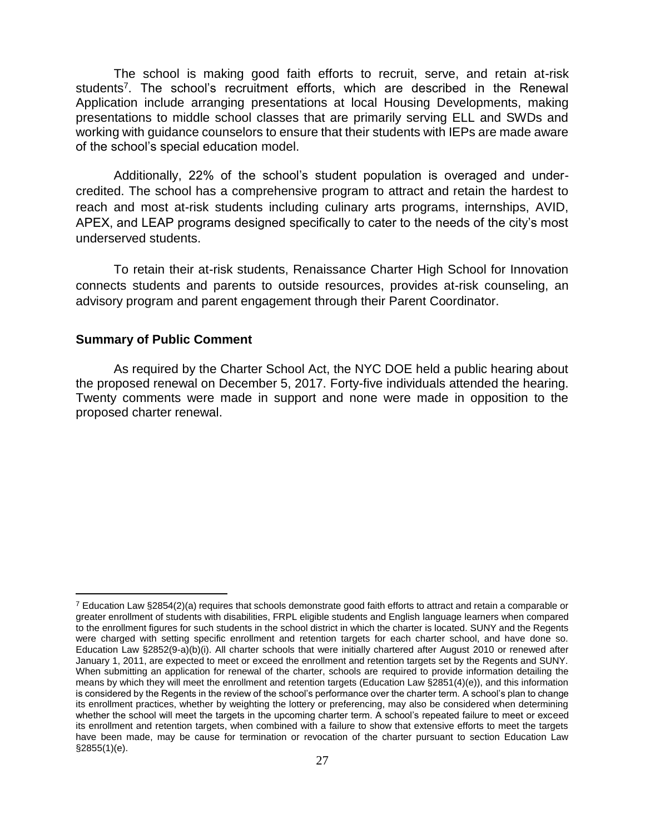The school is making good faith efforts to recruit, serve, and retain at-risk students<sup>7</sup>. The school's recruitment efforts, which are described in the Renewal Application include arranging presentations at local Housing Developments, making presentations to middle school classes that are primarily serving ELL and SWDs and working with guidance counselors to ensure that their students with IEPs are made aware of the school's special education model.

Additionally, 22% of the school's student population is overaged and undercredited. The school has a comprehensive program to attract and retain the hardest to reach and most at-risk students including culinary arts programs, internships, AVID, APEX, and LEAP programs designed specifically to cater to the needs of the city's most underserved students.

To retain their at-risk students, Renaissance Charter High School for Innovation connects students and parents to outside resources, provides at-risk counseling, an advisory program and parent engagement through their Parent Coordinator.

#### **Summary of Public Comment**

 $\overline{a}$ 

As required by the Charter School Act, the NYC DOE held a public hearing about the proposed renewal on December 5, 2017. Forty-five individuals attended the hearing. Twenty comments were made in support and none were made in opposition to the proposed charter renewal.

 $7$  Education Law §2854(2)(a) requires that schools demonstrate good faith efforts to attract and retain a comparable or greater enrollment of students with disabilities, FRPL eligible students and English language learners when compared to the enrollment figures for such students in the school district in which the charter is located. SUNY and the Regents were charged with setting specific enrollment and retention targets for each charter school, and have done so. Education Law §2852(9-a)(b)(i). All charter schools that were initially chartered after August 2010 or renewed after January 1, 2011, are expected to meet or exceed the enrollment and retention targets set by the Regents and SUNY. When submitting an application for renewal of the charter, schools are required to provide information detailing the means by which they will meet the enrollment and retention targets (Education Law §2851(4)(e)), and this information is considered by the Regents in the review of the school's performance over the charter term. A school's plan to change its enrollment practices, whether by weighting the lottery or preferencing, may also be considered when determining whether the school will meet the targets in the upcoming charter term. A school's repeated failure to meet or exceed its enrollment and retention targets, when combined with a failure to show that extensive efforts to meet the targets have been made, may be cause for termination or revocation of the charter pursuant to section Education Law §2855(1)(e).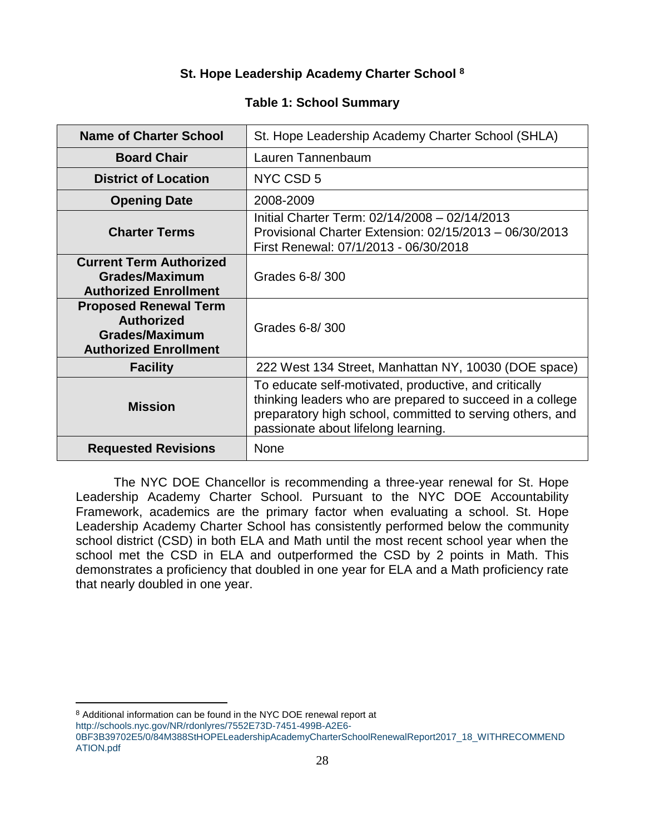# **St. Hope Leadership Academy Charter School <sup>8</sup>**

## **Table 1: School Summary**

| <b>Name of Charter School</b>                                                                              | St. Hope Leadership Academy Charter School (SHLA)                                                                                                                                                                      |
|------------------------------------------------------------------------------------------------------------|------------------------------------------------------------------------------------------------------------------------------------------------------------------------------------------------------------------------|
| <b>Board Chair</b>                                                                                         | Lauren Tannenbaum                                                                                                                                                                                                      |
| <b>District of Location</b>                                                                                | NYC CSD 5                                                                                                                                                                                                              |
| <b>Opening Date</b>                                                                                        | 2008-2009                                                                                                                                                                                                              |
| <b>Charter Terms</b>                                                                                       | Initial Charter Term: 02/14/2008 - 02/14/2013<br>Provisional Charter Extension: 02/15/2013 - 06/30/2013<br>First Renewal: 07/1/2013 - 06/30/2018                                                                       |
| <b>Current Term Authorized</b><br><b>Grades/Maximum</b><br><b>Authorized Enrollment</b>                    | Grades 6-8/300                                                                                                                                                                                                         |
| <b>Proposed Renewal Term</b><br><b>Authorized</b><br><b>Grades/Maximum</b><br><b>Authorized Enrollment</b> | Grades 6-8/300                                                                                                                                                                                                         |
| <b>Facility</b>                                                                                            | 222 West 134 Street, Manhattan NY, 10030 (DOE space)                                                                                                                                                                   |
| <b>Mission</b>                                                                                             | To educate self-motivated, productive, and critically<br>thinking leaders who are prepared to succeed in a college<br>preparatory high school, committed to serving others, and<br>passionate about lifelong learning. |
| <b>Requested Revisions</b>                                                                                 | <b>None</b>                                                                                                                                                                                                            |

The NYC DOE Chancellor is recommending a three-year renewal for St. Hope Leadership Academy Charter School. Pursuant to the NYC DOE Accountability Framework, academics are the primary factor when evaluating a school. St. Hope Leadership Academy Charter School has consistently performed below the community school district (CSD) in both ELA and Math until the most recent school year when the school met the CSD in ELA and outperformed the CSD by 2 points in Math. This demonstrates a proficiency that doubled in one year for ELA and a Math proficiency rate that nearly doubled in one year.

[http://schools.nyc.gov/NR/rdonlyres/7552E73D-7451-499B-A2E6-](http://schools.nyc.gov/NR/rdonlyres/7552E73D-7451-499B-A2E6-0BF3B39702E5/0/84M388StHOPELeadershipAcademyCharterSchoolRenewalReport2017_18_WITHRECOMMENDATION.pdf)

 $\overline{a}$ 

<sup>8</sup> Additional information can be found in the NYC DOE renewal report at

[<sup>0</sup>BF3B39702E5/0/84M388StHOPELeadershipAcademyCharterSchoolRenewalReport2017\\_18\\_WITHRECOMMEND](http://schools.nyc.gov/NR/rdonlyres/7552E73D-7451-499B-A2E6-0BF3B39702E5/0/84M388StHOPELeadershipAcademyCharterSchoolRenewalReport2017_18_WITHRECOMMENDATION.pdf) [ATION.pdf](http://schools.nyc.gov/NR/rdonlyres/7552E73D-7451-499B-A2E6-0BF3B39702E5/0/84M388StHOPELeadershipAcademyCharterSchoolRenewalReport2017_18_WITHRECOMMENDATION.pdf)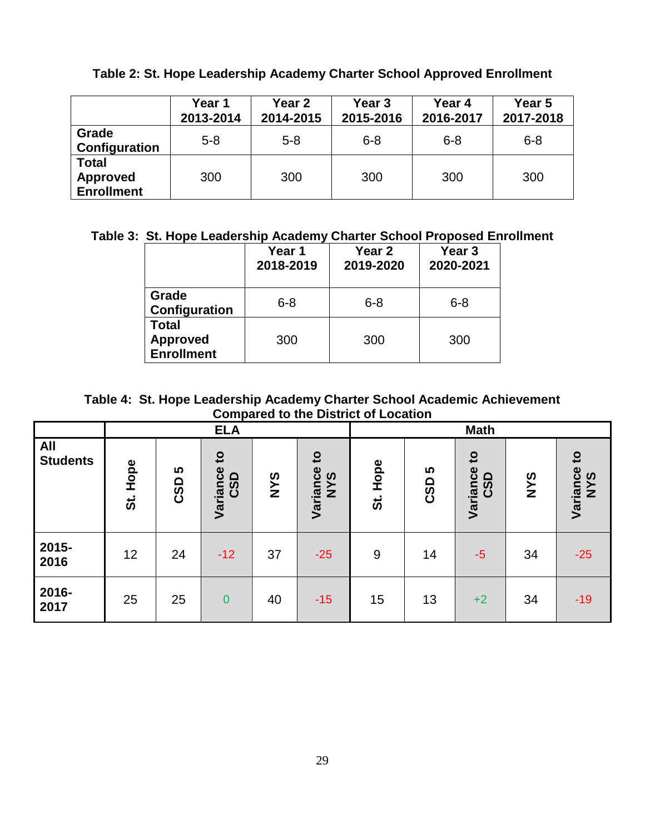|                                                      | Year 1<br>2013-2014 | Year <sub>2</sub><br>2014-2015 | Year <sub>3</sub><br>2015-2016 | Year 4<br>2016-2017 | Year 5<br>2017-2018 |
|------------------------------------------------------|---------------------|--------------------------------|--------------------------------|---------------------|---------------------|
| Grade<br>Configuration                               | $5 - 8$             | $5 - 8$                        | $6 - 8$                        | $6 - 8$             | $6 - 8$             |
| <b>Total</b><br><b>Approved</b><br><b>Enrollment</b> | 300                 | 300                            | 300                            | 300                 | 300                 |

**Table 2: St. Hope Leadership Academy Charter School Approved Enrollment**

# **Table 3: St. Hope Leadership Academy Charter School Proposed Enrollment**

|                                               | Year 1<br>2018-2019 | Year 2<br>2019-2020 | Year <sub>3</sub><br>2020-2021 |
|-----------------------------------------------|---------------------|---------------------|--------------------------------|
| Grade<br>Configuration                        | $6 - 8$             | $6 - 8$             | $6 - 8$                        |
| Total<br><b>Approved</b><br><b>Enrollment</b> | 300                 | 300                 | 300                            |

**Table 4: St. Hope Leadership Academy Charter School Academic Achievement Compared to the District of Location**

|                               | <b>ELA</b>                  |          |                                        |            |                                        |            |                 | <b>Math</b>                                |            |                                 |
|-------------------------------|-----------------------------|----------|----------------------------------------|------------|----------------------------------------|------------|-----------------|--------------------------------------------|------------|---------------------------------|
| <b>All</b><br><b>Students</b> | Hope<br>$\ddot{\mathbf{s}}$ | 5<br>CSD | $\mathbf{c}$<br>Variance<br><b>CSD</b> | <b>SAN</b> | $\mathbf{c}$<br>Variance<br><b>NYS</b> | Hope<br>ີ່ | 5<br><b>CSD</b> | $\mathbf{c}$<br>Variance<br>$\Omega$<br>ဖွ | <b>SAN</b> | $\mathbf{c}$<br>Variance<br>NYS |
| 2015-<br>2016                 | 12                          | 24       | $-12$                                  | 37         | $-25$                                  | 9          | 14              | $-5$                                       | 34         | $-25$                           |
| 2016-<br>2017                 | 25                          | 25       | $\overline{0}$                         | 40         | $-15$                                  | 15         | 13              | $+2$                                       | 34         | $-19$                           |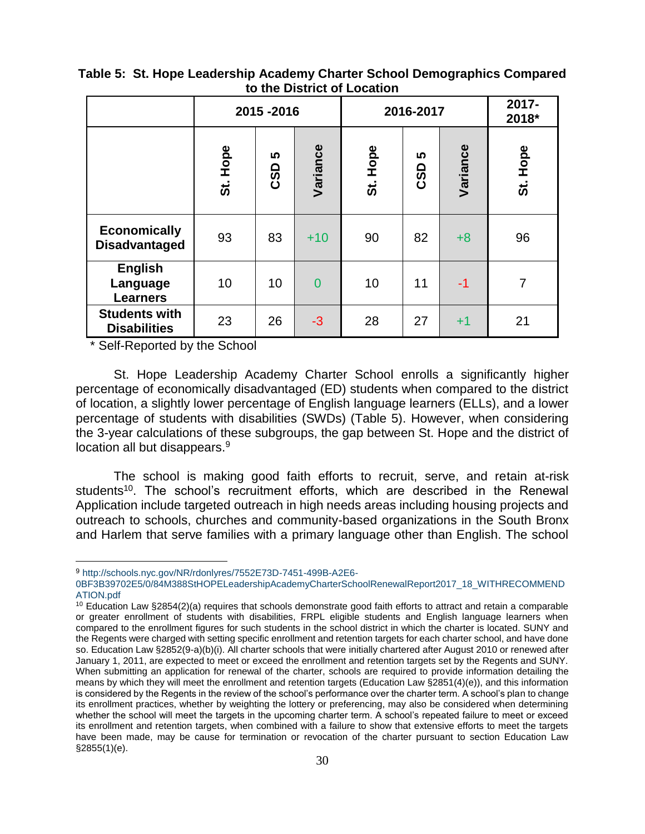|                                               | 2015-2016 |                 |                | 2016-2017     |          |          | 2017-<br>2018* |
|-----------------------------------------------|-----------|-----------------|----------------|---------------|----------|----------|----------------|
|                                               | St. Hope  | <b>S</b><br>CSD | Variance       | Hope<br><br>თ | ທ<br>CSD | Variance | Hope<br>ີ່     |
| <b>Economically</b><br><b>Disadvantaged</b>   | 93        | 83              | $+10$          | 90            | 82       | $+8$     | 96             |
| <b>English</b><br>Language<br><b>Learners</b> | 10        | 10              | $\overline{0}$ | 10            | 11       | $-1$     | 7              |
| <b>Students with</b><br><b>Disabilities</b>   | 23        | 26              | $-3$           | 28            | 27       | $+1$     | 21             |

## **Table 5: St. Hope Leadership Academy Charter School Demographics Compared to the District of Location**

\* Self-Reported by the School

 $\overline{a}$ 

St. Hope Leadership Academy Charter School enrolls a significantly higher percentage of economically disadvantaged (ED) students when compared to the district of location, a slightly lower percentage of English language learners (ELLs), and a lower percentage of students with disabilities (SWDs) (Table 5). However, when considering the 3-year calculations of these subgroups, the gap between St. Hope and the district of location all but disappears.<sup>9</sup>

The school is making good faith efforts to recruit, serve, and retain at-risk students<sup>10</sup>. The school's recruitment efforts, which are described in the Renewal Application include targeted outreach in high needs areas including housing projects and outreach to schools, churches and community-based organizations in the South Bronx and Harlem that serve families with a primary language other than English. The school

<sup>9</sup> [http://schools.nyc.gov/NR/rdonlyres/7552E73D-7451-499B-A2E6-](http://schools.nyc.gov/NR/rdonlyres/7552E73D-7451-499B-A2E6-0BF3B39702E5/0/84M388StHOPELeadershipAcademyCharterSchoolRenewalReport2017_18_WITHRECOMMENDATION.pdf)

[<sup>0</sup>BF3B39702E5/0/84M388StHOPELeadershipAcademyCharterSchoolRenewalReport2017\\_18\\_WITHRECOMMEND](http://schools.nyc.gov/NR/rdonlyres/7552E73D-7451-499B-A2E6-0BF3B39702E5/0/84M388StHOPELeadershipAcademyCharterSchoolRenewalReport2017_18_WITHRECOMMENDATION.pdf) [ATION.pdf](http://schools.nyc.gov/NR/rdonlyres/7552E73D-7451-499B-A2E6-0BF3B39702E5/0/84M388StHOPELeadershipAcademyCharterSchoolRenewalReport2017_18_WITHRECOMMENDATION.pdf) 

<sup>10</sup> Education Law §2854(2)(a) requires that schools demonstrate good faith efforts to attract and retain a comparable or greater enrollment of students with disabilities, FRPL eligible students and English language learners when compared to the enrollment figures for such students in the school district in which the charter is located. SUNY and the Regents were charged with setting specific enrollment and retention targets for each charter school, and have done so. Education Law §2852(9-a)(b)(i). All charter schools that were initially chartered after August 2010 or renewed after January 1, 2011, are expected to meet or exceed the enrollment and retention targets set by the Regents and SUNY. When submitting an application for renewal of the charter, schools are required to provide information detailing the means by which they will meet the enrollment and retention targets (Education Law §2851(4)(e)), and this information is considered by the Regents in the review of the school's performance over the charter term. A school's plan to change its enrollment practices, whether by weighting the lottery or preferencing, may also be considered when determining whether the school will meet the targets in the upcoming charter term. A school's repeated failure to meet or exceed its enrollment and retention targets, when combined with a failure to show that extensive efforts to meet the targets have been made, may be cause for termination or revocation of the charter pursuant to section Education Law §2855(1)(e).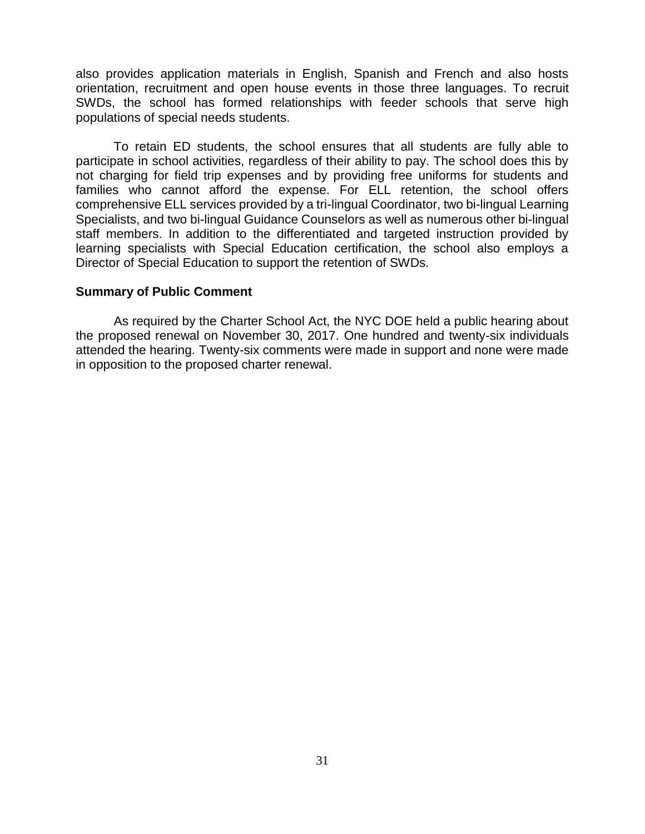also provides application materials in English, Spanish and French and also hosts orientation, recruitment and open house events in those three languages. To recruit SWDs, the school has formed relationships with feeder schools that serve high populations of special needs students.

To retain ED students, the school ensures that all students are fully able to participate in school activities, regardless of their ability to pay. The school does this by not charging for field trip expenses and by providing free uniforms for students and families who cannot afford the expense. For ELL retention, the school offers comprehensive ELL services provided by a tri-lingual Coordinator, two bi-lingual Learning Specialists, and two bi-lingual Guidance Counselors as well as numerous other bi-lingual staff members. In addition to the differentiated and targeted instruction provided by learning specialists with Special Education certification, the school also employs a Director of Special Education to support the retention of SWDs.

#### **Summary of Public Comment**

As required by the Charter School Act, the NYC DOE held a public hearing about the proposed renewal on November 30, 2017. One hundred and twenty-six individuals attended the hearing. Twenty-six comments were made in support and none were made in opposition to the proposed charter renewal.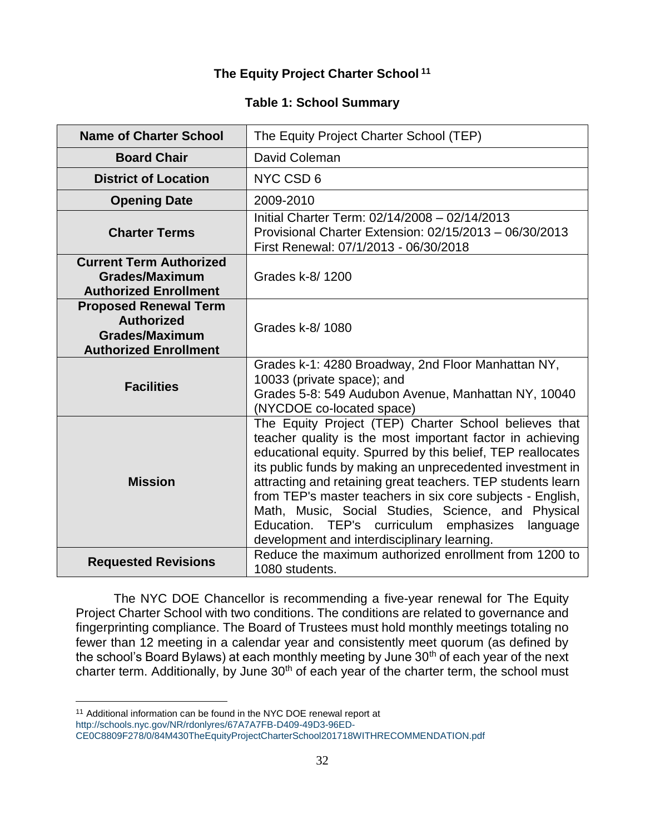## **The Equity Project Charter School <sup>11</sup>**

## **Table 1: School Summary**

| <b>Name of Charter School</b>                                                                              | The Equity Project Charter School (TEP)                                                                                                                                                                                                                                                                                                                                                                                                                                                                                                      |
|------------------------------------------------------------------------------------------------------------|----------------------------------------------------------------------------------------------------------------------------------------------------------------------------------------------------------------------------------------------------------------------------------------------------------------------------------------------------------------------------------------------------------------------------------------------------------------------------------------------------------------------------------------------|
| <b>Board Chair</b>                                                                                         | David Coleman                                                                                                                                                                                                                                                                                                                                                                                                                                                                                                                                |
| <b>District of Location</b>                                                                                | NYC CSD 6                                                                                                                                                                                                                                                                                                                                                                                                                                                                                                                                    |
| <b>Opening Date</b>                                                                                        | 2009-2010                                                                                                                                                                                                                                                                                                                                                                                                                                                                                                                                    |
| <b>Charter Terms</b>                                                                                       | Initial Charter Term: 02/14/2008 - 02/14/2013<br>Provisional Charter Extension: 02/15/2013 - 06/30/2013<br>First Renewal: 07/1/2013 - 06/30/2018                                                                                                                                                                                                                                                                                                                                                                                             |
| <b>Current Term Authorized</b><br><b>Grades/Maximum</b><br><b>Authorized Enrollment</b>                    | Grades k-8/1200                                                                                                                                                                                                                                                                                                                                                                                                                                                                                                                              |
| <b>Proposed Renewal Term</b><br><b>Authorized</b><br><b>Grades/Maximum</b><br><b>Authorized Enrollment</b> | Grades k-8/1080                                                                                                                                                                                                                                                                                                                                                                                                                                                                                                                              |
| <b>Facilities</b>                                                                                          | Grades k-1: 4280 Broadway, 2nd Floor Manhattan NY,<br>10033 (private space); and<br>Grades 5-8: 549 Audubon Avenue, Manhattan NY, 10040<br>(NYCDOE co-located space)                                                                                                                                                                                                                                                                                                                                                                         |
| <b>Mission</b>                                                                                             | The Equity Project (TEP) Charter School believes that<br>teacher quality is the most important factor in achieving<br>educational equity. Spurred by this belief, TEP reallocates<br>its public funds by making an unprecedented investment in<br>attracting and retaining great teachers. TEP students learn<br>from TEP's master teachers in six core subjects - English,<br>Math, Music, Social Studies, Science, and Physical<br>Education.<br>curriculum emphasizes<br>TEP's<br>language<br>development and interdisciplinary learning. |
| <b>Requested Revisions</b>                                                                                 | Reduce the maximum authorized enrollment from 1200 to<br>1080 students.                                                                                                                                                                                                                                                                                                                                                                                                                                                                      |

The NYC DOE Chancellor is recommending a five-year renewal for The Equity Project Charter School with two conditions. The conditions are related to governance and fingerprinting compliance. The Board of Trustees must hold monthly meetings totaling no fewer than 12 meeting in a calendar year and consistently meet quorum (as defined by the school's Board Bylaws) at each monthly meeting by June 30<sup>th</sup> of each year of the next charter term. Additionally, by June  $30<sup>th</sup>$  of each year of the charter term, the school must

 $\overline{a}$ 

<sup>&</sup>lt;sup>11</sup> Additional information can be found in the NYC DOE renewal report at

[http://schools.nyc.gov/NR/rdonlyres/67A7A7FB-D409-49D3-96ED-](http://schools.nyc.gov/NR/rdonlyres/67A7A7FB-D409-49D3-96ED-CE0C8809F278/0/84M430TheEquityProjectCharterSchool201718WITHRECOMMENDATION.pdf)

[CE0C8809F278/0/84M430TheEquityProjectCharterSchool201718WITHRECOMMENDATION.pdf](http://schools.nyc.gov/NR/rdonlyres/67A7A7FB-D409-49D3-96ED-CE0C8809F278/0/84M430TheEquityProjectCharterSchool201718WITHRECOMMENDATION.pdf)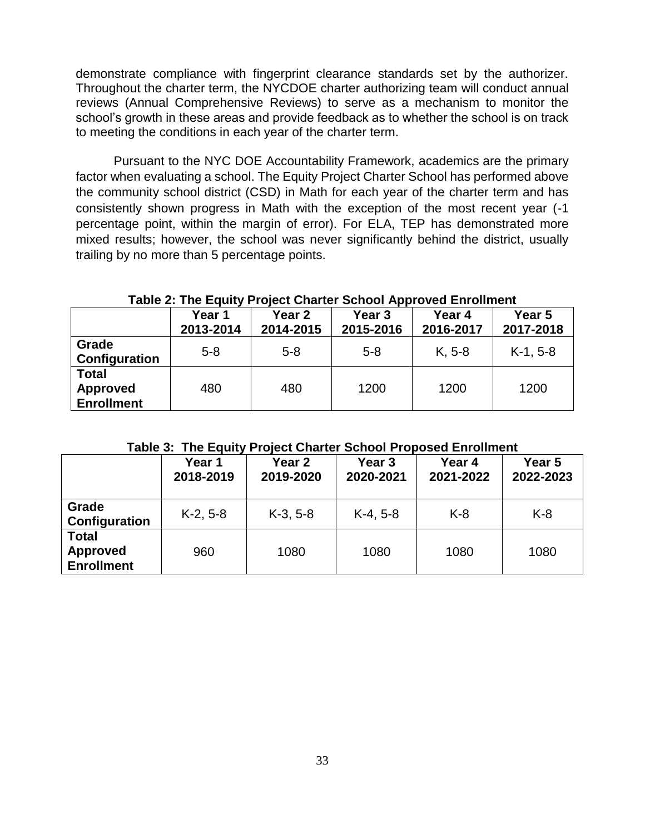demonstrate compliance with fingerprint clearance standards set by the authorizer. Throughout the charter term, the NYCDOE charter authorizing team will conduct annual reviews (Annual Comprehensive Reviews) to serve as a mechanism to monitor the school's growth in these areas and provide feedback as to whether the school is on track to meeting the conditions in each year of the charter term.

Pursuant to the NYC DOE Accountability Framework, academics are the primary factor when evaluating a school. The Equity Project Charter School has performed above the community school district (CSD) in Math for each year of the charter term and has consistently shown progress in Math with the exception of the most recent year (-1 percentage point, within the margin of error). For ELA, TEP has demonstrated more mixed results; however, the school was never significantly behind the district, usually trailing by no more than 5 percentage points.

|                                                      | Year 1<br>2013-2014 | Year 2<br>2014-2015 | Year <sub>3</sub><br>2015-2016 | Year 4<br>2016-2017 | Year 5<br>2017-2018 |
|------------------------------------------------------|---------------------|---------------------|--------------------------------|---------------------|---------------------|
| Grade<br>Configuration                               | $5 - 8$             | $5 - 8$             | $5 - 8$                        | $K, 5-8$            | $K-1, 5-8$          |
| <b>Total</b><br><b>Approved</b><br><b>Enrollment</b> | 480                 | 480                 | 1200                           | 1200                | 1200                |

#### **Table 2: The Equity Project Charter School Approved Enrollment**

#### **Table 3: The Equity Project Charter School Proposed Enrollment**

|                                                      | Year 1<br>2018-2019 | Year 2<br>2019-2020 | Year <sub>3</sub><br>2020-2021 | Year 4<br>2021-2022 | Year 5<br>2022-2023 |
|------------------------------------------------------|---------------------|---------------------|--------------------------------|---------------------|---------------------|
| Grade<br>Configuration                               | $K-2, 5-8$          | $K-3, 5-8$          | $K-4, 5-8$                     | $K-8$               | $K-8$               |
| <b>Total</b><br><b>Approved</b><br><b>Enrollment</b> | 960                 | 1080                | 1080                           | 1080                | 1080                |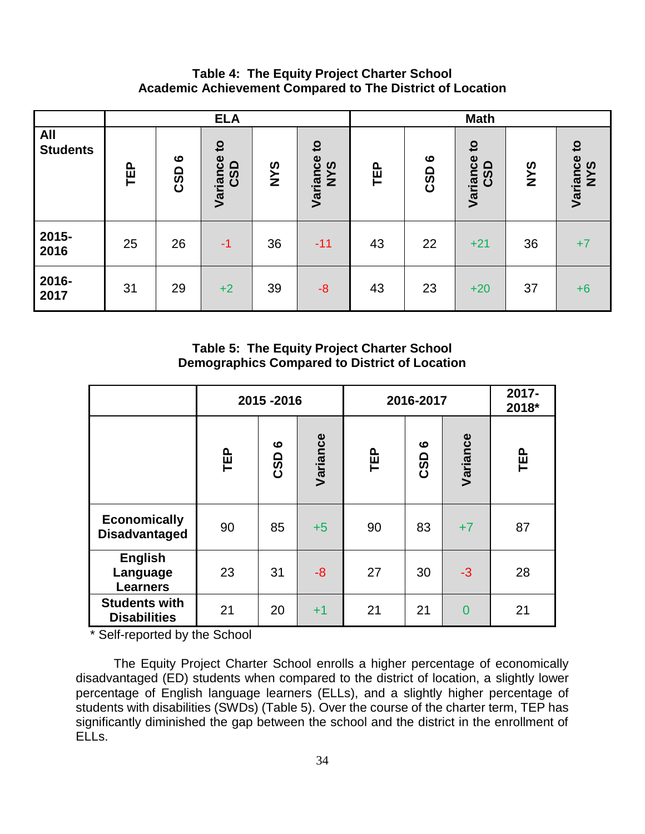## **Table 4: The Equity Project Charter School Academic Achievement Compared to The District of Location**

|                               |            |                         | <b>ELA</b>                      |     |                                        | <b>Math</b> |                                     |                                 |            |                                   |
|-------------------------------|------------|-------------------------|---------------------------------|-----|----------------------------------------|-------------|-------------------------------------|---------------------------------|------------|-----------------------------------|
| <b>All</b><br><b>Students</b> | <b>TEP</b> | $\bullet$<br><b>CSD</b> | $\mathbf{S}$<br>Variance<br>CSD | NYS | $\mathbf{c}$<br>Variance<br><b>NYS</b> | TEP         | $\boldsymbol{\omega}$<br><b>CSD</b> | $\mathbf{S}$<br>Variance<br>CSD | <b>SAN</b> | $\overline{5}$<br>Variance<br>NYS |
| 2015-<br>2016                 | 25         | 26                      | $-1$                            | 36  | $-11$                                  | 43          | 22                                  | $+21$                           | 36         | $+7$                              |
| 2016-<br>2017                 | 31         | 29                      | $+2$                            | 39  | $-8$                                   | 43          | 23                                  | $+20$                           | 37         | $+6$                              |

**Table 5: The Equity Project Charter School Demographics Compared to District of Location**

|                                               |            | 2015-2016 |          | 2016-2017  | 2017-<br>2018* |                |            |
|-----------------------------------------------|------------|-----------|----------|------------|----------------|----------------|------------|
|                                               | <b>TEP</b> | ဖ<br>CSD  | Variance | <b>TEP</b> | ဖ<br>CSD       | Variance       | <b>TEP</b> |
| <b>Economically</b><br><b>Disadvantaged</b>   | 90         | 85        | $+5$     | 90         | 83             | $+7$           | 87         |
| <b>English</b><br>Language<br><b>Learners</b> | 23         | 31        | $-8$     | 27         | 30             | $-3$           | 28         |
| <b>Students with</b><br><b>Disabilities</b>   | 21         | 20        | $+1$     | 21         | 21             | $\overline{0}$ | 21         |

\* Self-reported by the School

The Equity Project Charter School enrolls a higher percentage of economically disadvantaged (ED) students when compared to the district of location, a slightly lower percentage of English language learners (ELLs), and a slightly higher percentage of students with disabilities (SWDs) (Table 5). Over the course of the charter term, TEP has significantly diminished the gap between the school and the district in the enrollment of ELLs.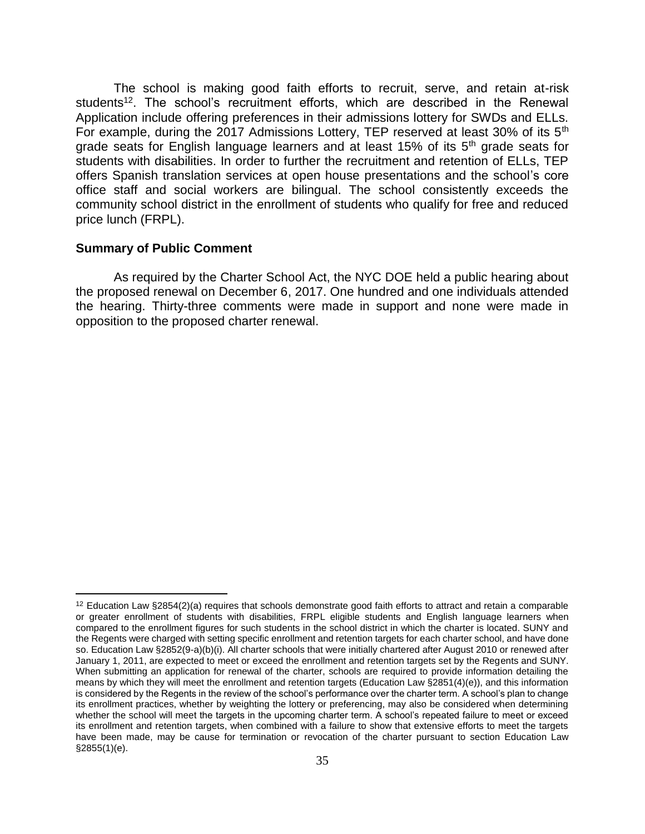The school is making good faith efforts to recruit, serve, and retain at-risk students<sup>12</sup>. The school's recruitment efforts, which are described in the Renewal Application include offering preferences in their admissions lottery for SWDs and ELLs. For example, during the 2017 Admissions Lottery, TEP reserved at least 30% of its 5th grade seats for English language learners and at least 15% of its  $5<sup>th</sup>$  grade seats for students with disabilities. In order to further the recruitment and retention of ELLs, TEP offers Spanish translation services at open house presentations and the school's core office staff and social workers are bilingual. The school consistently exceeds the community school district in the enrollment of students who qualify for free and reduced price lunch (FRPL).

#### **Summary of Public Comment**

 $\overline{a}$ 

As required by the Charter School Act, the NYC DOE held a public hearing about the proposed renewal on December 6, 2017. One hundred and one individuals attended the hearing. Thirty-three comments were made in support and none were made in opposition to the proposed charter renewal.

 $12$  Education Law §2854(2)(a) requires that schools demonstrate good faith efforts to attract and retain a comparable or greater enrollment of students with disabilities, FRPL eligible students and English language learners when compared to the enrollment figures for such students in the school district in which the charter is located. SUNY and the Regents were charged with setting specific enrollment and retention targets for each charter school, and have done so. Education Law §2852(9-a)(b)(i). All charter schools that were initially chartered after August 2010 or renewed after January 1, 2011, are expected to meet or exceed the enrollment and retention targets set by the Regents and SUNY. When submitting an application for renewal of the charter, schools are required to provide information detailing the means by which they will meet the enrollment and retention targets (Education Law §2851(4)(e)), and this information is considered by the Regents in the review of the school's performance over the charter term. A school's plan to change its enrollment practices, whether by weighting the lottery or preferencing, may also be considered when determining whether the school will meet the targets in the upcoming charter term. A school's repeated failure to meet or exceed its enrollment and retention targets, when combined with a failure to show that extensive efforts to meet the targets have been made, may be cause for termination or revocation of the charter pursuant to section Education Law §2855(1)(e).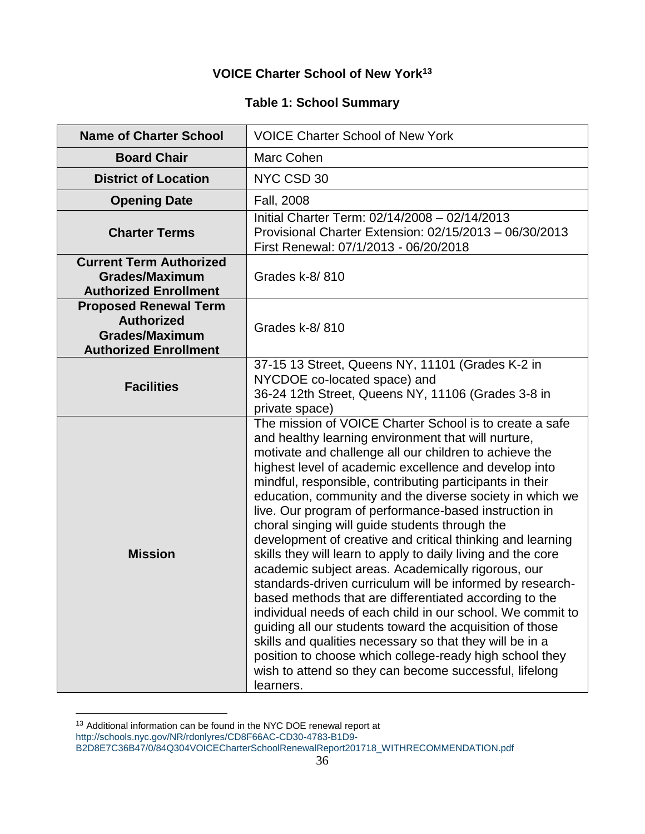# **VOICE Charter School of New York<sup>13</sup>**

# **Table 1: School Summary**

| <b>Name of Charter School</b>                                                                              | <b>VOICE Charter School of New York</b>                                                                                                                                                                                                                                                                                                                                                                                                                                                                                                                                                                                                                                                                                                                                                                                                                                                                                                                                                                                                                                                                 |
|------------------------------------------------------------------------------------------------------------|---------------------------------------------------------------------------------------------------------------------------------------------------------------------------------------------------------------------------------------------------------------------------------------------------------------------------------------------------------------------------------------------------------------------------------------------------------------------------------------------------------------------------------------------------------------------------------------------------------------------------------------------------------------------------------------------------------------------------------------------------------------------------------------------------------------------------------------------------------------------------------------------------------------------------------------------------------------------------------------------------------------------------------------------------------------------------------------------------------|
| <b>Board Chair</b>                                                                                         | Marc Cohen                                                                                                                                                                                                                                                                                                                                                                                                                                                                                                                                                                                                                                                                                                                                                                                                                                                                                                                                                                                                                                                                                              |
| <b>District of Location</b>                                                                                | NYC CSD 30                                                                                                                                                                                                                                                                                                                                                                                                                                                                                                                                                                                                                                                                                                                                                                                                                                                                                                                                                                                                                                                                                              |
| <b>Opening Date</b>                                                                                        | Fall, 2008                                                                                                                                                                                                                                                                                                                                                                                                                                                                                                                                                                                                                                                                                                                                                                                                                                                                                                                                                                                                                                                                                              |
| <b>Charter Terms</b>                                                                                       | Initial Charter Term: 02/14/2008 - 02/14/2013<br>Provisional Charter Extension: 02/15/2013 - 06/30/2013<br>First Renewal: 07/1/2013 - 06/20/2018                                                                                                                                                                                                                                                                                                                                                                                                                                                                                                                                                                                                                                                                                                                                                                                                                                                                                                                                                        |
| <b>Current Term Authorized</b><br><b>Grades/Maximum</b><br><b>Authorized Enrollment</b>                    | Grades k-8/810                                                                                                                                                                                                                                                                                                                                                                                                                                                                                                                                                                                                                                                                                                                                                                                                                                                                                                                                                                                                                                                                                          |
| <b>Proposed Renewal Term</b><br><b>Authorized</b><br><b>Grades/Maximum</b><br><b>Authorized Enrollment</b> | Grades k-8/810                                                                                                                                                                                                                                                                                                                                                                                                                                                                                                                                                                                                                                                                                                                                                                                                                                                                                                                                                                                                                                                                                          |
| <b>Facilities</b>                                                                                          | 37-15 13 Street, Queens NY, 11101 (Grades K-2 in<br>NYCDOE co-located space) and<br>36-24 12th Street, Queens NY, 11106 (Grades 3-8 in<br>private space)                                                                                                                                                                                                                                                                                                                                                                                                                                                                                                                                                                                                                                                                                                                                                                                                                                                                                                                                                |
| <b>Mission</b>                                                                                             | The mission of VOICE Charter School is to create a safe<br>and healthy learning environment that will nurture,<br>motivate and challenge all our children to achieve the<br>highest level of academic excellence and develop into<br>mindful, responsible, contributing participants in their<br>education, community and the diverse society in which we<br>live. Our program of performance-based instruction in<br>choral singing will guide students through the<br>development of creative and critical thinking and learning<br>skills they will learn to apply to daily living and the core<br>academic subject areas. Academically rigorous, our<br>standards-driven curriculum will be informed by research-<br>based methods that are differentiated according to the<br>individual needs of each child in our school. We commit to<br>guiding all our students toward the acquisition of those<br>skills and qualities necessary so that they will be in a<br>position to choose which college-ready high school they<br>wish to attend so they can become successful, lifelong<br>learners. |

<sup>&</sup>lt;sup>13</sup> Additional information can be found in the NYC DOE renewal report at [http://schools.nyc.gov/NR/rdonlyres/CD8F66AC-CD30-4783-B1D9-](http://schools.nyc.gov/NR/rdonlyres/CD8F66AC-CD30-4783-B1D9-B2D8E7C36B47/0/84Q304VOICECharterSchoolRenewalReport201718_WITHRECOMMENDATION.pdf) [B2D8E7C36B47/0/84Q304VOICECharterSchoolRenewalReport201718\\_WITHRECOMMENDATION.pdf](http://schools.nyc.gov/NR/rdonlyres/CD8F66AC-CD30-4783-B1D9-B2D8E7C36B47/0/84Q304VOICECharterSchoolRenewalReport201718_WITHRECOMMENDATION.pdf)

 $\overline{a}$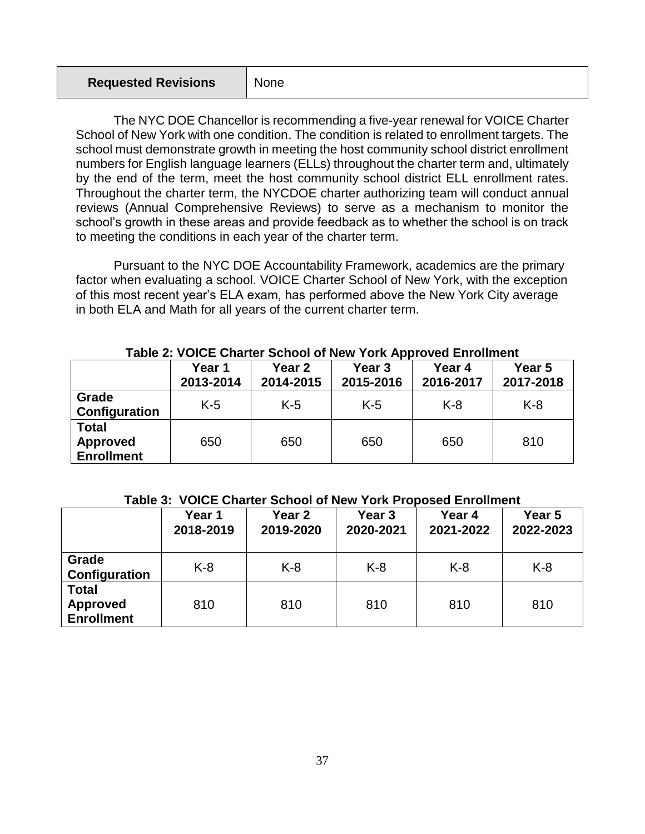| <b>Requested Revisions</b> | None |
|----------------------------|------|
|----------------------------|------|

The NYC DOE Chancellor is recommending a five-year renewal for VOICE Charter School of New York with one condition. The condition is related to enrollment targets. The school must demonstrate growth in meeting the host community school district enrollment numbers for English language learners (ELLs) throughout the charter term and, ultimately by the end of the term, meet the host community school district ELL enrollment rates. Throughout the charter term, the NYCDOE charter authorizing team will conduct annual reviews (Annual Comprehensive Reviews) to serve as a mechanism to monitor the school's growth in these areas and provide feedback as to whether the school is on track to meeting the conditions in each year of the charter term.

Pursuant to the NYC DOE Accountability Framework, academics are the primary factor when evaluating a school. VOICE Charter School of New York, with the exception of this most recent year's ELA exam, has performed above the New York City average in both ELA and Math for all years of the current charter term.

|                                                      | Year 1<br>2013-2014 | Year 2<br>2014-2015 |       | Year 4<br>2016-2017 | Year 5<br>2017-2018 |  |
|------------------------------------------------------|---------------------|---------------------|-------|---------------------|---------------------|--|
| Grade<br>Configuration                               | $K-5$               | $K-5$               | $K-5$ | $K-8$               | $K-8$               |  |
| <b>Total</b><br><b>Approved</b><br><b>Enrollment</b> | 650                 | 650                 | 650   | 650                 | 810                 |  |

#### **Table 2: VOICE Charter School of New York Approved Enrollment**

## **Table 3: VOICE Charter School of New York Proposed Enrollment**

|                                                      | Year 1<br>2018-2019 | Year 2<br>2019-2020 | Year 3<br>2020-2021 | Year 4<br>2021-2022 | Year 5<br>2022-2023 |  |
|------------------------------------------------------|---------------------|---------------------|---------------------|---------------------|---------------------|--|
| Grade<br>Configuration                               | $K-8$               | $K-8$               | $K-8$               | $K-8$               | $K-8$               |  |
| <b>Total</b><br><b>Approved</b><br><b>Enrollment</b> | 810                 | 810                 | 810                 | 810                 | 810                 |  |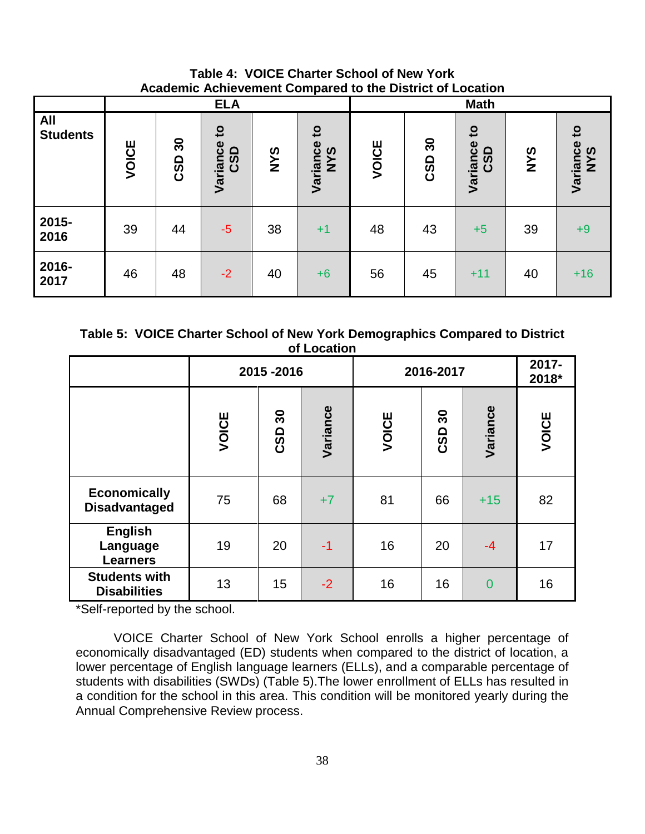**Table 4: VOICE Charter School of New York Academic Achievement Compared to the District of Location**

|                               |       |           | <b>ELA</b>                      |            |                                 | <b>Math</b> |           |                                             |            |                                 |
|-------------------------------|-------|-----------|---------------------------------|------------|---------------------------------|-------------|-----------|---------------------------------------------|------------|---------------------------------|
| <b>All</b><br><b>Students</b> | VOICE | 30<br>CSD | $\mathbf{c}$<br>Variance<br>CSD | <b>NYS</b> | $\mathbf{c}$<br>Variance<br>NYS | VOICE       | 30<br>CSD | $\mathbf{c}$<br>Variance<br>$\Omega$<br>ပ္လ | <b>SAN</b> | $\mathbf{c}$<br>Variance<br>NYS |
| 2015-<br>2016                 | 39    | 44        | $-5$                            | 38         | $+1$                            | 48          | 43        | $+5$                                        | 39         | $+9$                            |
| 2016-<br>2017                 | 46    | 48        | $-2$                            | 40         | $+6$                            | 56          | 45        | $+11$                                       | 40         | $+16$                           |

**Table 5: VOICE Charter School of New York Demographics Compared to District of Location**

|                                               |       | 2015-2016                |          | 2016-2017 | 2017-<br>2018*           |                |       |
|-----------------------------------------------|-------|--------------------------|----------|-----------|--------------------------|----------------|-------|
|                                               | VOICE | $\boldsymbol{50}$<br>CSD | Variance | VOICE     | $\boldsymbol{50}$<br>CSD | Variance       | VOICE |
| <b>Economically</b><br><b>Disadvantaged</b>   | 75    | 68                       | $+7$     | 81        | 66                       | $+15$          | 82    |
| <b>English</b><br>Language<br><b>Learners</b> | 19    | 20                       | $-1$     | 16        | 20                       | $-4$           | 17    |
| <b>Students with</b><br><b>Disabilities</b>   | 13    | 15                       | $-2$     | 16        | 16                       | $\overline{0}$ | 16    |

\*Self-reported by the school.

VOICE Charter School of New York School enrolls a higher percentage of economically disadvantaged (ED) students when compared to the district of location, a lower percentage of English language learners (ELLs), and a comparable percentage of students with disabilities (SWDs) (Table 5).The lower enrollment of ELLs has resulted in a condition for the school in this area. This condition will be monitored yearly during the Annual Comprehensive Review process.